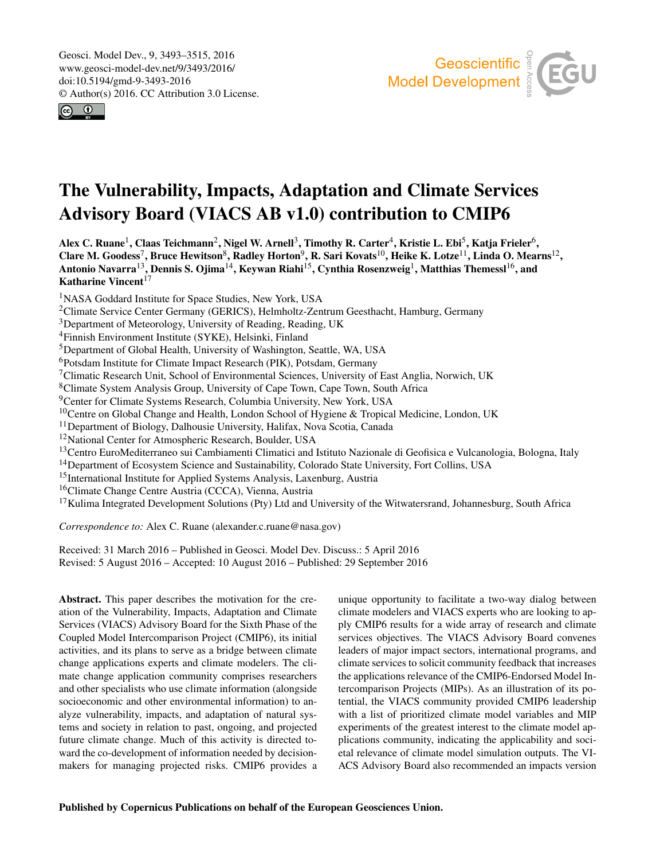<span id="page-0-1"></span>Geosci. Model Dev., 9, 3493–3515, 2016 www.geosci-model-dev.net/9/3493/2016/ doi:10.5194/gmd-9-3493-2016 © Author(s) 2016. CC Attribution 3.0 License.





# The Vulnerability, Impacts, Adaptation and Climate Services Advisory Board (VIACS AB v1.0) contribution to CMIP6

Alex C. Ruane $^1$  $^1$ , Claas Teichmann $^2$  $^2$ , Nigel W. Arnell $^3$  $^3$ , Timothy R. Carter $^4$  $^4$ , Kristie L. Ebi $^5$  $^5$ , Katja Frieler $^6$  $^6$ , Clare M. Goodess<sup>[7](#page-0-0)</sup>, Bruce Hewitson<sup>[8](#page-0-0)</sup>, Radley Horton<sup>[9](#page-0-0)</sup>, R. Sari Kovats<sup>[10](#page-0-0)</sup>, Heike K. Lotze<sup>[11](#page-0-0)</sup>, Linda O. Mearns<sup>[12](#page-0-0)</sup>, Antonio Navarra $^{13}$  $^{13}$  $^{13}$ , Dennis S. Ojima $^{14}$  $^{14}$  $^{14}$ , Keywan Riahi $^{15}$  $^{15}$  $^{15}$ , Cynthia Rosenzweig $^{1}$  $^{1}$  $^{1}$ , Matthias Themessl $^{16}$  $^{16}$  $^{16}$ , and Katharine Vincent $17$ 

<sup>1</sup>NASA Goddard Institute for Space Studies, New York, USA

<sup>2</sup>Climate Service Center Germany (GERICS), Helmholtz-Zentrum Geesthacht, Hamburg, Germany

<sup>3</sup>Department of Meteorology, University of Reading, Reading, UK

<sup>4</sup>Finnish Environment Institute (SYKE), Helsinki, Finland

<sup>5</sup>Department of Global Health, University of Washington, Seattle, WA, USA

<sup>6</sup>Potsdam Institute for Climate Impact Research (PIK), Potsdam, Germany

<sup>7</sup>Climatic Research Unit, School of Environmental Sciences, University of East Anglia, Norwich, UK

<sup>8</sup>Climate System Analysis Group, University of Cape Town, Cape Town, South Africa

<sup>9</sup>Center for Climate Systems Research, Columbia University, New York, USA

<sup>10</sup>Centre on Global Change and Health, London School of Hygiene & Tropical Medicine, London, UK

<sup>11</sup>Department of Biology, Dalhousie University, Halifax, Nova Scotia, Canada

<sup>12</sup>National Center for Atmospheric Research, Boulder, USA

<sup>13</sup>Centro EuroMediterraneo sui Cambiamenti Climatici and Istituto Nazionale di Geofisica e Vulcanologia, Bologna, Italy

<sup>14</sup>Department of Ecosystem Science and Sustainability, Colorado State University, Fort Collins, USA

<sup>15</sup>International Institute for Applied Systems Analysis, Laxenburg, Austria

<sup>16</sup>Climate Change Centre Austria (CCCA), Vienna, Austria

<sup>17</sup>Kulima Integrated Development Solutions (Pty) Ltd and University of the Witwatersrand, Johannesburg, South Africa

*Correspondence to:* Alex C. Ruane (alexander.c.ruane@nasa.gov)

Received: 31 March 2016 – Published in Geosci. Model Dev. Discuss.: 5 April 2016 Revised: 5 August 2016 – Accepted: 10 August 2016 – Published: 29 September 2016

<span id="page-0-0"></span>Abstract. This paper describes the motivation for the creation of the Vulnerability, Impacts, Adaptation and Climate Services (VIACS) Advisory Board for the Sixth Phase of the Coupled Model Intercomparison Project (CMIP6), its initial activities, and its plans to serve as a bridge between climate change applications experts and climate modelers. The climate change application community comprises researchers and other specialists who use climate information (alongside socioeconomic and other environmental information) to analyze vulnerability, impacts, and adaptation of natural systems and society in relation to past, ongoing, and projected future climate change. Much of this activity is directed toward the co-development of information needed by decisionmakers for managing projected risks. CMIP6 provides a unique opportunity to facilitate a two-way dialog between climate modelers and VIACS experts who are looking to apply CMIP6 results for a wide array of research and climate services objectives. The VIACS Advisory Board convenes leaders of major impact sectors, international programs, and climate services to solicit community feedback that increases the applications relevance of the CMIP6-Endorsed Model Intercomparison Projects (MIPs). As an illustration of its potential, the VIACS community provided CMIP6 leadership with a list of prioritized climate model variables and MIP experiments of the greatest interest to the climate model applications community, indicating the applicability and societal relevance of climate model simulation outputs. The VI-ACS Advisory Board also recommended an impacts version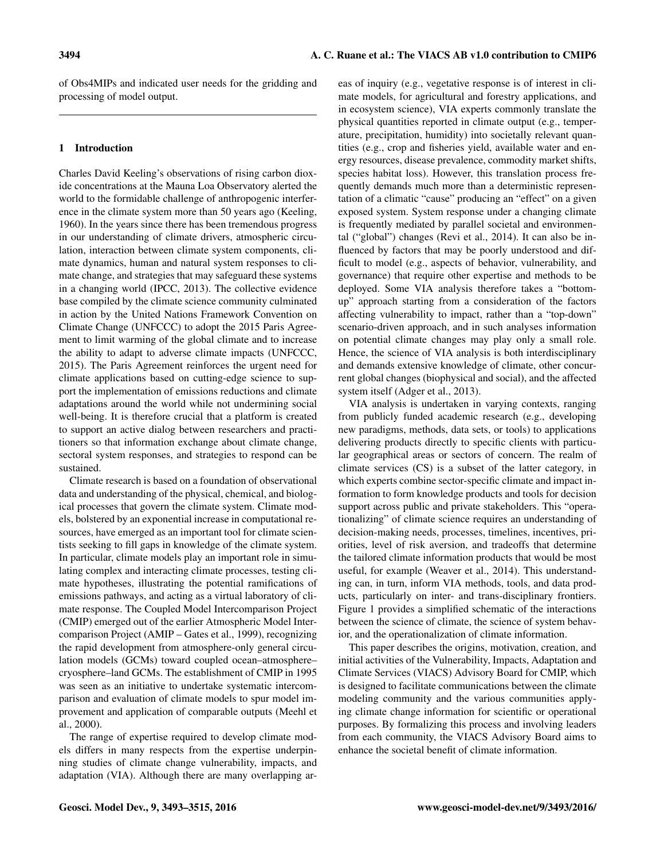of Obs4MIPs and indicated user needs for the gridding and processing of model output.

# 1 Introduction

Charles David Keeling's observations of rising carbon dioxide concentrations at the Mauna Loa Observatory alerted the world to the formidable challenge of anthropogenic interference in the climate system more than 50 years ago (Keeling, 1960). In the years since there has been tremendous progress in our understanding of climate drivers, atmospheric circulation, interaction between climate system components, climate dynamics, human and natural system responses to climate change, and strategies that may safeguard these systems in a changing world (IPCC, 2013). The collective evidence base compiled by the climate science community culminated in action by the United Nations Framework Convention on Climate Change (UNFCCC) to adopt the 2015 Paris Agreement to limit warming of the global climate and to increase the ability to adapt to adverse climate impacts (UNFCCC, 2015). The Paris Agreement reinforces the urgent need for climate applications based on cutting-edge science to support the implementation of emissions reductions and climate adaptations around the world while not undermining social well-being. It is therefore crucial that a platform is created to support an active dialog between researchers and practitioners so that information exchange about climate change, sectoral system responses, and strategies to respond can be sustained.

Climate research is based on a foundation of observational data and understanding of the physical, chemical, and biological processes that govern the climate system. Climate models, bolstered by an exponential increase in computational resources, have emerged as an important tool for climate scientists seeking to fill gaps in knowledge of the climate system. In particular, climate models play an important role in simulating complex and interacting climate processes, testing climate hypotheses, illustrating the potential ramifications of emissions pathways, and acting as a virtual laboratory of climate response. The Coupled Model Intercomparison Project (CMIP) emerged out of the earlier Atmospheric Model Intercomparison Project (AMIP – Gates et al., 1999), recognizing the rapid development from atmosphere-only general circulation models (GCMs) toward coupled ocean–atmosphere– cryosphere–land GCMs. The establishment of CMIP in 1995 was seen as an initiative to undertake systematic intercomparison and evaluation of climate models to spur model improvement and application of comparable outputs (Meehl et al., 2000).

The range of expertise required to develop climate models differs in many respects from the expertise underpinning studies of climate change vulnerability, impacts, and adaptation (VIA). Although there are many overlapping areas of inquiry (e.g., vegetative response is of interest in climate models, for agricultural and forestry applications, and in ecosystem science), VIA experts commonly translate the physical quantities reported in climate output (e.g., temperature, precipitation, humidity) into societally relevant quantities (e.g., crop and fisheries yield, available water and energy resources, disease prevalence, commodity market shifts, species habitat loss). However, this translation process frequently demands much more than a deterministic representation of a climatic "cause" producing an "effect" on a given exposed system. System response under a changing climate is frequently mediated by parallel societal and environmental ("global") changes (Revi et al., 2014). It can also be influenced by factors that may be poorly understood and difficult to model (e.g., aspects of behavior, vulnerability, and governance) that require other expertise and methods to be deployed. Some VIA analysis therefore takes a "bottomup" approach starting from a consideration of the factors affecting vulnerability to impact, rather than a "top-down" scenario-driven approach, and in such analyses information on potential climate changes may play only a small role. Hence, the science of VIA analysis is both interdisciplinary and demands extensive knowledge of climate, other concurrent global changes (biophysical and social), and the affected system itself (Adger et al., 2013).

VIA analysis is undertaken in varying contexts, ranging from publicly funded academic research (e.g., developing new paradigms, methods, data sets, or tools) to applications delivering products directly to specific clients with particular geographical areas or sectors of concern. The realm of climate services (CS) is a subset of the latter category, in which experts combine sector-specific climate and impact information to form knowledge products and tools for decision support across public and private stakeholders. This "operationalizing" of climate science requires an understanding of decision-making needs, processes, timelines, incentives, priorities, level of risk aversion, and tradeoffs that determine the tailored climate information products that would be most useful, for example (Weaver et al., 2014). This understanding can, in turn, inform VIA methods, tools, and data products, particularly on inter- and trans-disciplinary frontiers. Figure 1 provides a simplified schematic of the interactions between the science of climate, the science of system behavior, and the operationalization of climate information.

This paper describes the origins, motivation, creation, and initial activities of the Vulnerability, Impacts, Adaptation and Climate Services (VIACS) Advisory Board for CMIP, which is designed to facilitate communications between the climate modeling community and the various communities applying climate change information for scientific or operational purposes. By formalizing this process and involving leaders from each community, the VIACS Advisory Board aims to enhance the societal benefit of climate information.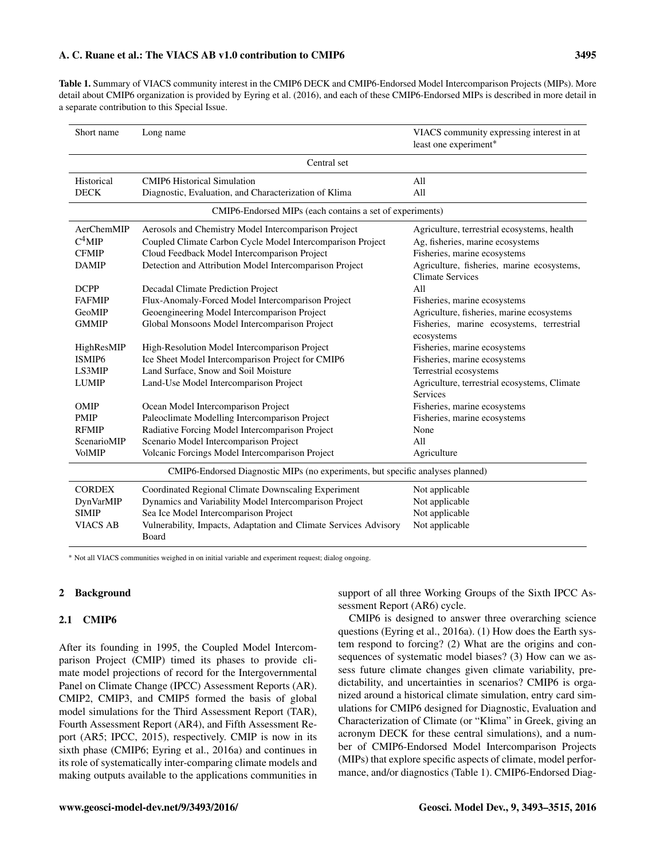#### A. C. Ruane et al.: The VIACS AB v1.0 contribution to CMIP6 3495

Table 1. Summary of VIACS community interest in the CMIP6 DECK and CMIP6-Endorsed Model Intercomparison Projects (MIPs). More detail about CMIP6 organization is provided by Eyring et al. (2016), and each of these CMIP6-Endorsed MIPs is described in more detail in a separate contribution to this Special Issue.

| Short name                                                                     | Long name                                                                 | VIACS community expressing interest in at<br>least one experiment*    |  |
|--------------------------------------------------------------------------------|---------------------------------------------------------------------------|-----------------------------------------------------------------------|--|
|                                                                                | Central set                                                               |                                                                       |  |
| Historical                                                                     | <b>CMIP6</b> Historical Simulation                                        | All                                                                   |  |
| <b>DECK</b>                                                                    | Diagnostic, Evaluation, and Characterization of Klima                     | All                                                                   |  |
| CMIP6-Endorsed MIPs (each contains a set of experiments)                       |                                                                           |                                                                       |  |
| AerChemMIP                                                                     | Aerosols and Chemistry Model Intercomparison Project                      | Agriculture, terrestrial ecosystems, health                           |  |
| $C^4$ MIP                                                                      | Coupled Climate Carbon Cycle Model Intercomparison Project                | Ag, fisheries, marine ecosystems                                      |  |
| <b>CFMIP</b>                                                                   | Cloud Feedback Model Intercomparison Project                              | Fisheries, marine ecosystems                                          |  |
| <b>DAMIP</b>                                                                   | Detection and Attribution Model Intercomparison Project                   | Agriculture, fisheries, marine ecosystems,<br><b>Climate Services</b> |  |
| <b>DCPP</b>                                                                    | Decadal Climate Prediction Project                                        | All                                                                   |  |
| <b>FAFMIP</b>                                                                  | Flux-Anomaly-Forced Model Intercomparison Project                         | Fisheries, marine ecosystems                                          |  |
| GeoMIP                                                                         | Geoengineering Model Intercomparison Project                              | Agriculture, fisheries, marine ecosystems                             |  |
| <b>GMMIP</b>                                                                   | Global Monsoons Model Intercomparison Project                             | Fisheries, marine ecosystems, terrestrial<br>ecosystems               |  |
| HighResMIP                                                                     | High-Resolution Model Intercomparison Project                             | Fisheries, marine ecosystems                                          |  |
| ISMIP <sub>6</sub>                                                             | Ice Sheet Model Intercomparison Project for CMIP6                         | Fisheries, marine ecosystems                                          |  |
| LS3MIP                                                                         | Land Surface, Snow and Soil Moisture                                      | Terrestrial ecosystems                                                |  |
| <b>LUMIP</b>                                                                   | Land-Use Model Intercomparison Project                                    | Agriculture, terrestrial ecosystems, Climate                          |  |
|                                                                                |                                                                           | <b>Services</b>                                                       |  |
| OMIP                                                                           | Ocean Model Intercomparison Project                                       | Fisheries, marine ecosystems                                          |  |
| <b>PMIP</b>                                                                    | Paleoclimate Modelling Intercomparison Project                            | Fisheries, marine ecosystems                                          |  |
| <b>RFMIP</b>                                                                   | Radiative Forcing Model Intercomparison Project                           | None                                                                  |  |
| ScenarioMIP                                                                    | Scenario Model Intercomparison Project                                    | All                                                                   |  |
| <b>VolMIP</b>                                                                  | Volcanic Forcings Model Intercomparison Project                           | Agriculture                                                           |  |
| CMIP6-Endorsed Diagnostic MIPs (no experiments, but specific analyses planned) |                                                                           |                                                                       |  |
| <b>CORDEX</b>                                                                  | Coordinated Regional Climate Downscaling Experiment                       | Not applicable                                                        |  |
| DynVarMIP                                                                      | Dynamics and Variability Model Intercomparison Project                    | Not applicable                                                        |  |
| <b>SIMIP</b>                                                                   | Sea Ice Model Intercomparison Project                                     | Not applicable                                                        |  |
| <b>VIACS AB</b>                                                                | Vulnerability, Impacts, Adaptation and Climate Services Advisory<br>Board | Not applicable                                                        |  |

<sup>∗</sup> Not all VIACS communities weighed in on initial variable and experiment request; dialog ongoing.

#### 2 Background

#### 2.1 CMIP6

After its founding in 1995, the Coupled Model Intercomparison Project (CMIP) timed its phases to provide climate model projections of record for the Intergovernmental Panel on Climate Change (IPCC) Assessment Reports (AR). CMIP2, CMIP3, and CMIP5 formed the basis of global model simulations for the Third Assessment Report (TAR), Fourth Assessment Report (AR4), and Fifth Assessment Report (AR5; IPCC, 2015), respectively. CMIP is now in its sixth phase (CMIP6; Eyring et al., 2016a) and continues in its role of systematically inter-comparing climate models and making outputs available to the applications communities in support of all three Working Groups of the Sixth IPCC Assessment Report (AR6) cycle.

CMIP6 is designed to answer three overarching science questions (Eyring et al., 2016a). (1) How does the Earth system respond to forcing? (2) What are the origins and consequences of systematic model biases? (3) How can we assess future climate changes given climate variability, predictability, and uncertainties in scenarios? CMIP6 is organized around a historical climate simulation, entry card simulations for CMIP6 designed for Diagnostic, Evaluation and Characterization of Climate (or "Klima" in Greek, giving an acronym DECK for these central simulations), and a number of CMIP6-Endorsed Model Intercomparison Projects (MIPs) that explore specific aspects of climate, model performance, and/or diagnostics (Table 1). CMIP6-Endorsed Diag-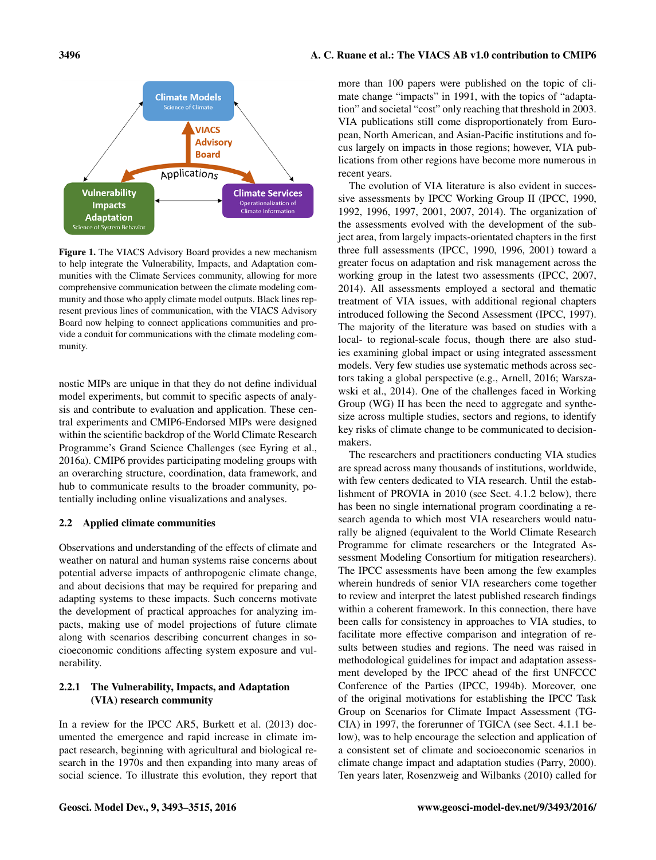

Figure 1. The VIACS Advisory Board provides a new mechanism to help integrate the Vulnerability, Impacts, and Adaptation communities with the Climate Services community, allowing for more comprehensive communication between the climate modeling community and those who apply climate model outputs. Black lines represent previous lines of communication, with the VIACS Advisory Board now helping to connect applications communities and provide a conduit for communications with the climate modeling community.

nostic MIPs are unique in that they do not define individual model experiments, but commit to specific aspects of analysis and contribute to evaluation and application. These central experiments and CMIP6-Endorsed MIPs were designed within the scientific backdrop of the World Climate Research Programme's Grand Science Challenges (see Eyring et al., 2016a). CMIP6 provides participating modeling groups with an overarching structure, coordination, data framework, and hub to communicate results to the broader community, potentially including online visualizations and analyses.

# 2.2 Applied climate communities

Observations and understanding of the effects of climate and weather on natural and human systems raise concerns about potential adverse impacts of anthropogenic climate change, and about decisions that may be required for preparing and adapting systems to these impacts. Such concerns motivate the development of practical approaches for analyzing impacts, making use of model projections of future climate along with scenarios describing concurrent changes in socioeconomic conditions affecting system exposure and vulnerability.

# 2.2.1 The Vulnerability, Impacts, and Adaptation (VIA) research community

In a review for the IPCC AR5, Burkett et al. (2013) documented the emergence and rapid increase in climate impact research, beginning with agricultural and biological research in the 1970s and then expanding into many areas of social science. To illustrate this evolution, they report that

more than 100 papers were published on the topic of climate change "impacts" in 1991, with the topics of "adaptation" and societal "cost" only reaching that threshold in 2003. VIA publications still come disproportionately from European, North American, and Asian-Pacific institutions and focus largely on impacts in those regions; however, VIA publications from other regions have become more numerous in recent years.

The evolution of VIA literature is also evident in successive assessments by IPCC Working Group II (IPCC, 1990, 1992, 1996, 1997, 2001, 2007, 2014). The organization of the assessments evolved with the development of the subject area, from largely impacts-orientated chapters in the first three full assessments (IPCC, 1990, 1996, 2001) toward a greater focus on adaptation and risk management across the working group in the latest two assessments (IPCC, 2007, 2014). All assessments employed a sectoral and thematic treatment of VIA issues, with additional regional chapters introduced following the Second Assessment (IPCC, 1997). The majority of the literature was based on studies with a local- to regional-scale focus, though there are also studies examining global impact or using integrated assessment models. Very few studies use systematic methods across sectors taking a global perspective (e.g., Arnell, 2016; Warszawski et al., 2014). One of the challenges faced in Working Group (WG) II has been the need to aggregate and synthesize across multiple studies, sectors and regions, to identify key risks of climate change to be communicated to decisionmakers.

The researchers and practitioners conducting VIA studies are spread across many thousands of institutions, worldwide, with few centers dedicated to VIA research. Until the establishment of PROVIA in 2010 (see Sect. 4.1.2 below), there has been no single international program coordinating a research agenda to which most VIA researchers would naturally be aligned (equivalent to the World Climate Research Programme for climate researchers or the Integrated Assessment Modeling Consortium for mitigation researchers). The IPCC assessments have been among the few examples wherein hundreds of senior VIA researchers come together to review and interpret the latest published research findings within a coherent framework. In this connection, there have been calls for consistency in approaches to VIA studies, to facilitate more effective comparison and integration of results between studies and regions. The need was raised in methodological guidelines for impact and adaptation assessment developed by the IPCC ahead of the first UNFCCC Conference of the Parties (IPCC, 1994b). Moreover, one of the original motivations for establishing the IPCC Task Group on Scenarios for Climate Impact Assessment (TG-CIA) in 1997, the forerunner of TGICA (see Sect. 4.1.1 below), was to help encourage the selection and application of a consistent set of climate and socioeconomic scenarios in climate change impact and adaptation studies (Parry, 2000). Ten years later, Rosenzweig and Wilbanks (2010) called for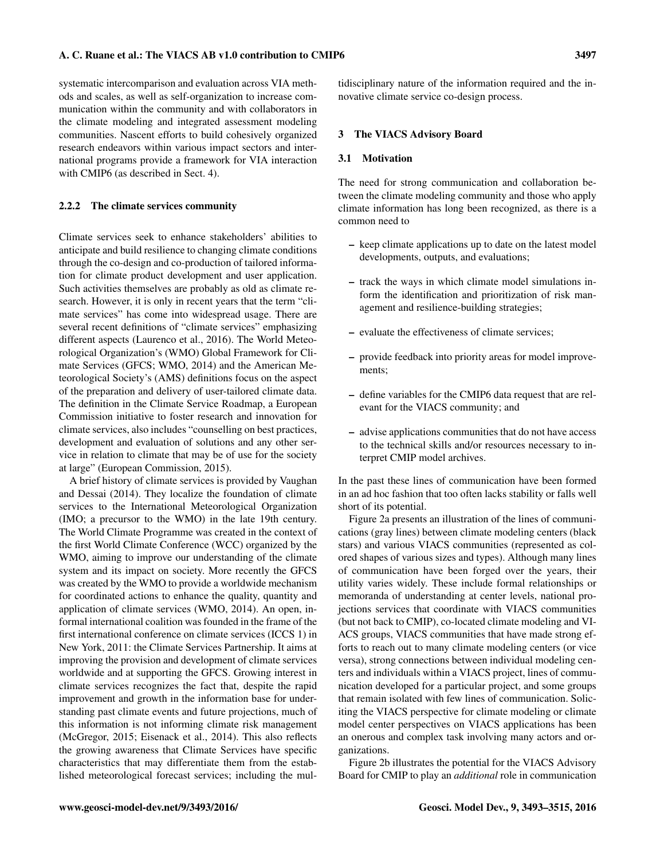systematic intercomparison and evaluation across VIA methods and scales, as well as self-organization to increase communication within the community and with collaborators in the climate modeling and integrated assessment modeling communities. Nascent efforts to build cohesively organized research endeavors within various impact sectors and international programs provide a framework for VIA interaction with CMIP6 (as described in Sect. 4).

#### 2.2.2 The climate services community

Climate services seek to enhance stakeholders' abilities to anticipate and build resilience to changing climate conditions through the co-design and co-production of tailored information for climate product development and user application. Such activities themselves are probably as old as climate research. However, it is only in recent years that the term "climate services" has come into widespread usage. There are several recent definitions of "climate services" emphasizing different aspects (Laurenco et al., 2016). The World Meteorological Organization's (WMO) Global Framework for Climate Services (GFCS; WMO, 2014) and the American Meteorological Society's (AMS) definitions focus on the aspect of the preparation and delivery of user-tailored climate data. The definition in the Climate Service Roadmap, a European Commission initiative to foster research and innovation for climate services, also includes "counselling on best practices, development and evaluation of solutions and any other service in relation to climate that may be of use for the society at large" (European Commission, 2015).

A brief history of climate services is provided by Vaughan and Dessai (2014). They localize the foundation of climate services to the International Meteorological Organization (IMO; a precursor to the WMO) in the late 19th century. The World Climate Programme was created in the context of the first World Climate Conference (WCC) organized by the WMO, aiming to improve our understanding of the climate system and its impact on society. More recently the GFCS was created by the WMO to provide a worldwide mechanism for coordinated actions to enhance the quality, quantity and application of climate services (WMO, 2014). An open, informal international coalition was founded in the frame of the first international conference on climate services (ICCS 1) in New York, 2011: the Climate Services Partnership. It aims at improving the provision and development of climate services worldwide and at supporting the GFCS. Growing interest in climate services recognizes the fact that, despite the rapid improvement and growth in the information base for understanding past climate events and future projections, much of this information is not informing climate risk management (McGregor, 2015; Eisenack et al., 2014). This also reflects the growing awareness that Climate Services have specific characteristics that may differentiate them from the established meteorological forecast services; including the multidisciplinary nature of the information required and the innovative climate service co-design process.

#### 3 The VIACS Advisory Board

#### 3.1 Motivation

The need for strong communication and collaboration between the climate modeling community and those who apply climate information has long been recognized, as there is a common need to

- keep climate applications up to date on the latest model developments, outputs, and evaluations;
- track the ways in which climate model simulations inform the identification and prioritization of risk management and resilience-building strategies;
- evaluate the effectiveness of climate services;
- provide feedback into priority areas for model improvements;
- define variables for the CMIP6 data request that are relevant for the VIACS community; and
- advise applications communities that do not have access to the technical skills and/or resources necessary to interpret CMIP model archives.

In the past these lines of communication have been formed in an ad hoc fashion that too often lacks stability or falls well short of its potential.

Figure 2a presents an illustration of the lines of communications (gray lines) between climate modeling centers (black stars) and various VIACS communities (represented as colored shapes of various sizes and types). Although many lines of communication have been forged over the years, their utility varies widely. These include formal relationships or memoranda of understanding at center levels, national projections services that coordinate with VIACS communities (but not back to CMIP), co-located climate modeling and VI-ACS groups, VIACS communities that have made strong efforts to reach out to many climate modeling centers (or vice versa), strong connections between individual modeling centers and individuals within a VIACS project, lines of communication developed for a particular project, and some groups that remain isolated with few lines of communication. Soliciting the VIACS perspective for climate modeling or climate model center perspectives on VIACS applications has been an onerous and complex task involving many actors and organizations.

Figure 2b illustrates the potential for the VIACS Advisory Board for CMIP to play an *additional* role in communication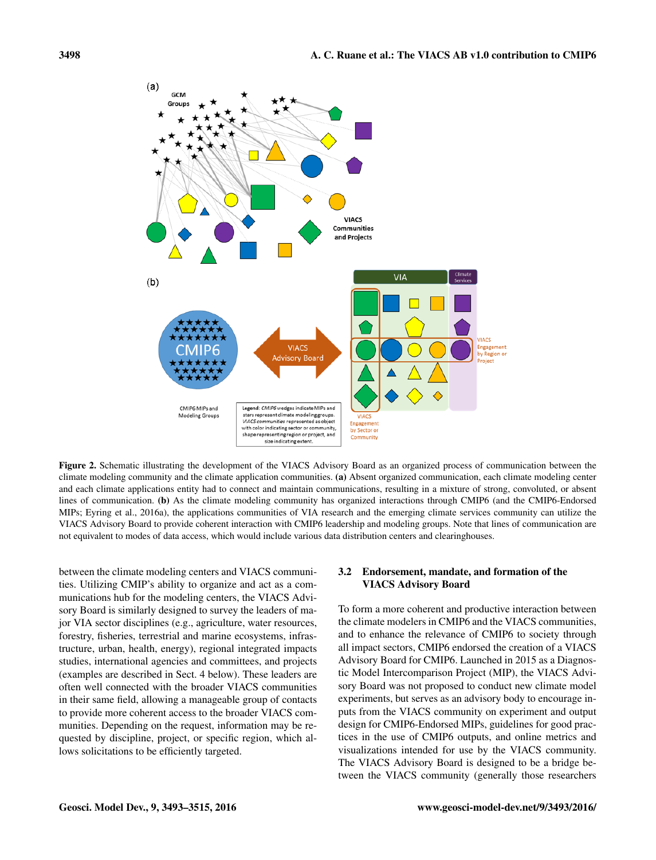

Figure 2. Schematic illustrating the development of the VIACS Advisory Board as an organized process of communication between the climate modeling community and the climate application communities. (a) Absent organized communication, each climate modeling center and each climate applications entity had to connect and maintain communications, resulting in a mixture of strong, convoluted, or absent lines of communication. (b) As the climate modeling community has organized interactions through CMIP6 (and the CMIP6-Endorsed MIPs; Eyring et al., 2016a), the applications communities of VIA research and the emerging climate services community can utilize the VIACS Advisory Board to provide coherent interaction with CMIP6 leadership and modeling groups. Note that lines of communication are not equivalent to modes of data access, which would include various data distribution centers and clearinghouses.

between the climate modeling centers and VIACS communities. Utilizing CMIP's ability to organize and act as a communications hub for the modeling centers, the VIACS Advisory Board is similarly designed to survey the leaders of major VIA sector disciplines (e.g., agriculture, water resources, forestry, fisheries, terrestrial and marine ecosystems, infrastructure, urban, health, energy), regional integrated impacts studies, international agencies and committees, and projects (examples are described in Sect. 4 below). These leaders are often well connected with the broader VIACS communities in their same field, allowing a manageable group of contacts to provide more coherent access to the broader VIACS communities. Depending on the request, information may be requested by discipline, project, or specific region, which allows solicitations to be efficiently targeted.

### 3.2 Endorsement, mandate, and formation of the VIACS Advisory Board

To form a more coherent and productive interaction between the climate modelers in CMIP6 and the VIACS communities, and to enhance the relevance of CMIP6 to society through all impact sectors, CMIP6 endorsed the creation of a VIACS Advisory Board for CMIP6. Launched in 2015 as a Diagnostic Model Intercomparison Project (MIP), the VIACS Advisory Board was not proposed to conduct new climate model experiments, but serves as an advisory body to encourage inputs from the VIACS community on experiment and output design for CMIP6-Endorsed MIPs, guidelines for good practices in the use of CMIP6 outputs, and online metrics and visualizations intended for use by the VIACS community. The VIACS Advisory Board is designed to be a bridge between the VIACS community (generally those researchers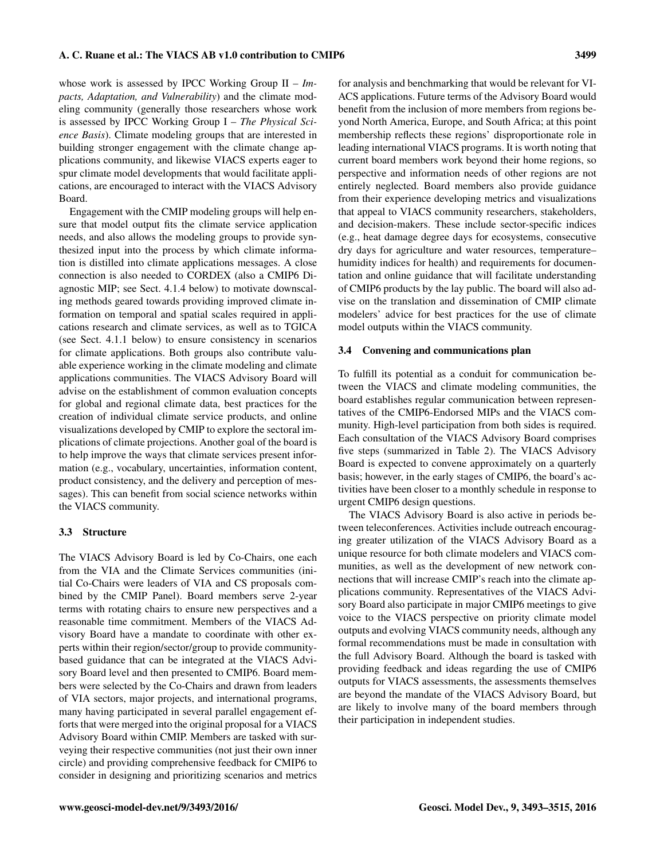whose work is assessed by IPCC Working Group II – *Impacts, Adaptation, and Vulnerability*) and the climate modeling community (generally those researchers whose work is assessed by IPCC Working Group I – *The Physical Science Basis*). Climate modeling groups that are interested in building stronger engagement with the climate change applications community, and likewise VIACS experts eager to spur climate model developments that would facilitate applications, are encouraged to interact with the VIACS Advisory Board.

Engagement with the CMIP modeling groups will help ensure that model output fits the climate service application needs, and also allows the modeling groups to provide synthesized input into the process by which climate information is distilled into climate applications messages. A close connection is also needed to CORDEX (also a CMIP6 Diagnostic MIP; see Sect. 4.1.4 below) to motivate downscaling methods geared towards providing improved climate information on temporal and spatial scales required in applications research and climate services, as well as to TGICA (see Sect. 4.1.1 below) to ensure consistency in scenarios for climate applications. Both groups also contribute valuable experience working in the climate modeling and climate applications communities. The VIACS Advisory Board will advise on the establishment of common evaluation concepts for global and regional climate data, best practices for the creation of individual climate service products, and online visualizations developed by CMIP to explore the sectoral implications of climate projections. Another goal of the board is to help improve the ways that climate services present information (e.g., vocabulary, uncertainties, information content, product consistency, and the delivery and perception of messages). This can benefit from social science networks within the VIACS community.

# 3.3 Structure

The VIACS Advisory Board is led by Co-Chairs, one each from the VIA and the Climate Services communities (initial Co-Chairs were leaders of VIA and CS proposals combined by the CMIP Panel). Board members serve 2-year terms with rotating chairs to ensure new perspectives and a reasonable time commitment. Members of the VIACS Advisory Board have a mandate to coordinate with other experts within their region/sector/group to provide communitybased guidance that can be integrated at the VIACS Advisory Board level and then presented to CMIP6. Board members were selected by the Co-Chairs and drawn from leaders of VIA sectors, major projects, and international programs, many having participated in several parallel engagement efforts that were merged into the original proposal for a VIACS Advisory Board within CMIP. Members are tasked with surveying their respective communities (not just their own inner circle) and providing comprehensive feedback for CMIP6 to consider in designing and prioritizing scenarios and metrics

for analysis and benchmarking that would be relevant for VI-ACS applications. Future terms of the Advisory Board would benefit from the inclusion of more members from regions beyond North America, Europe, and South Africa; at this point membership reflects these regions' disproportionate role in leading international VIACS programs. It is worth noting that current board members work beyond their home regions, so perspective and information needs of other regions are not entirely neglected. Board members also provide guidance from their experience developing metrics and visualizations that appeal to VIACS community researchers, stakeholders, and decision-makers. These include sector-specific indices (e.g., heat damage degree days for ecosystems, consecutive dry days for agriculture and water resources, temperature– humidity indices for health) and requirements for documentation and online guidance that will facilitate understanding of CMIP6 products by the lay public. The board will also advise on the translation and dissemination of CMIP climate modelers' advice for best practices for the use of climate model outputs within the VIACS community.

#### 3.4 Convening and communications plan

To fulfill its potential as a conduit for communication between the VIACS and climate modeling communities, the board establishes regular communication between representatives of the CMIP6-Endorsed MIPs and the VIACS community. High-level participation from both sides is required. Each consultation of the VIACS Advisory Board comprises five steps (summarized in Table 2). The VIACS Advisory Board is expected to convene approximately on a quarterly basis; however, in the early stages of CMIP6, the board's activities have been closer to a monthly schedule in response to urgent CMIP6 design questions.

The VIACS Advisory Board is also active in periods between teleconferences. Activities include outreach encouraging greater utilization of the VIACS Advisory Board as a unique resource for both climate modelers and VIACS communities, as well as the development of new network connections that will increase CMIP's reach into the climate applications community. Representatives of the VIACS Advisory Board also participate in major CMIP6 meetings to give voice to the VIACS perspective on priority climate model outputs and evolving VIACS community needs, although any formal recommendations must be made in consultation with the full Advisory Board. Although the board is tasked with providing feedback and ideas regarding the use of CMIP6 outputs for VIACS assessments, the assessments themselves are beyond the mandate of the VIACS Advisory Board, but are likely to involve many of the board members through their participation in independent studies.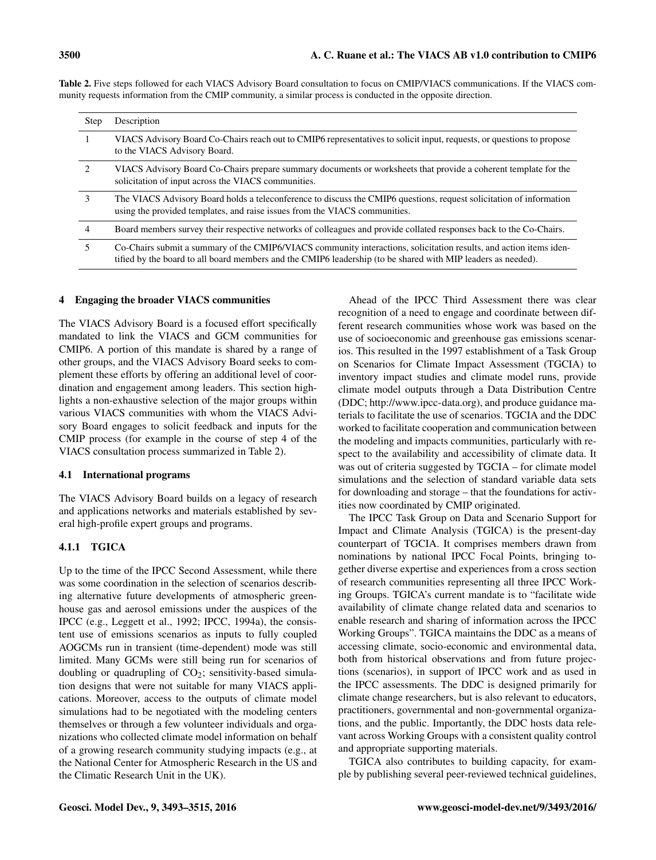Table 2. Five steps followed for each VIACS Advisory Board consultation to focus on CMIP/VIACS communications. If the VIACS community requests information from the CMIP community, a similar process is conducted in the opposite direction.

| <b>Step</b>                   | Description                                                                                                                                                                                                                        |
|-------------------------------|------------------------------------------------------------------------------------------------------------------------------------------------------------------------------------------------------------------------------------|
| 1                             | VIACS Advisory Board Co-Chairs reach out to CMIP6 representatives to solicit input, requests, or questions to propose<br>to the VIACS Advisory Board.                                                                              |
| $\mathfrak{D}_{\mathfrak{p}}$ | VIACS Advisory Board Co-Chairs prepare summary documents or worksheets that provide a coherent template for the<br>solicitation of input across the VIACS communities.                                                             |
| 3                             | The VIACS Advisory Board holds a teleconference to discuss the CMIP6 questions, request solicitation of information<br>using the provided templates, and raise issues from the VIACS communities.                                  |
| 4                             | Board members survey their respective networks of colleagues and provide collated responses back to the Co-Chairs.                                                                                                                 |
| 5                             | Co-Chairs submit a summary of the CMIP6/VIACS community interactions, solicitation results, and action items iden-<br>tified by the board to all board members and the CMIP6 leadership (to be shared with MIP leaders as needed). |

#### 4 Engaging the broader VIACS communities

The VIACS Advisory Board is a focused effort specifically mandated to link the VIACS and GCM communities for CMIP6. A portion of this mandate is shared by a range of other groups, and the VIACS Advisory Board seeks to complement these efforts by offering an additional level of coordination and engagement among leaders. This section highlights a non-exhaustive selection of the major groups within various VIACS communities with whom the VIACS Advisory Board engages to solicit feedback and inputs for the CMIP process (for example in the course of step 4 of the VIACS consultation process summarized in Table 2).

# 4.1 International programs

The VIACS Advisory Board builds on a legacy of research and applications networks and materials established by several high-profile expert groups and programs.

# 4.1.1 TGICA

Up to the time of the IPCC Second Assessment, while there was some coordination in the selection of scenarios describing alternative future developments of atmospheric greenhouse gas and aerosol emissions under the auspices of the IPCC (e.g., Leggett et al., 1992; IPCC, 1994a), the consistent use of emissions scenarios as inputs to fully coupled AOGCMs run in transient (time-dependent) mode was still limited. Many GCMs were still being run for scenarios of doubling or quadrupling of  $CO<sub>2</sub>$ ; sensitivity-based simulation designs that were not suitable for many VIACS applications. Moreover, access to the outputs of climate model simulations had to be negotiated with the modeling centers themselves or through a few volunteer individuals and organizations who collected climate model information on behalf of a growing research community studying impacts (e.g., at the National Center for Atmospheric Research in the US and the Climatic Research Unit in the UK).

Ahead of the IPCC Third Assessment there was clear recognition of a need to engage and coordinate between different research communities whose work was based on the use of socioeconomic and greenhouse gas emissions scenarios. This resulted in the 1997 establishment of a Task Group on Scenarios for Climate Impact Assessment (TGCIA) to inventory impact studies and climate model runs, provide climate model outputs through a Data Distribution Centre (DDC; [http://www.ipcc-data.org\)](http://www.ipcc-data.org), and produce guidance materials to facilitate the use of scenarios. TGCIA and the DDC worked to facilitate cooperation and communication between the modeling and impacts communities, particularly with respect to the availability and accessibility of climate data. It was out of criteria suggested by TGCIA – for climate model simulations and the selection of standard variable data sets for downloading and storage – that the foundations for activities now coordinated by CMIP originated.

The IPCC Task Group on Data and Scenario Support for Impact and Climate Analysis (TGICA) is the present-day counterpart of TGCIA. It comprises members drawn from nominations by national IPCC Focal Points, bringing together diverse expertise and experiences from a cross section of research communities representing all three IPCC Working Groups. TGICA's current mandate is to "facilitate wide availability of climate change related data and scenarios to enable research and sharing of information across the IPCC Working Groups". TGICA maintains the DDC as a means of accessing climate, socio-economic and environmental data, both from historical observations and from future projections (scenarios), in support of IPCC work and as used in the IPCC assessments. The DDC is designed primarily for climate change researchers, but is also relevant to educators, practitioners, governmental and non-governmental organizations, and the public. Importantly, the DDC hosts data relevant across Working Groups with a consistent quality control and appropriate supporting materials.

TGICA also contributes to building capacity, for example by publishing several peer-reviewed technical guidelines,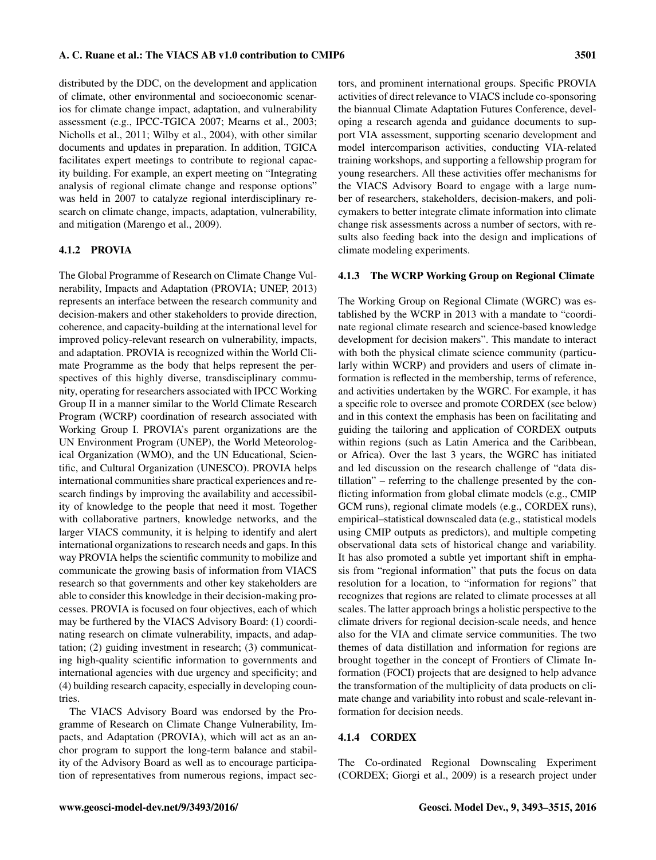distributed by the DDC, on the development and application of climate, other environmental and socioeconomic scenarios for climate change impact, adaptation, and vulnerability assessment (e.g., IPCC-TGICA 2007; Mearns et al., 2003; Nicholls et al., 2011; Wilby et al., 2004), with other similar documents and updates in preparation. In addition, TGICA facilitates expert meetings to contribute to regional capacity building. For example, an expert meeting on "Integrating analysis of regional climate change and response options" was held in 2007 to catalyze regional interdisciplinary research on climate change, impacts, adaptation, vulnerability, and mitigation (Marengo et al., 2009).

# 4.1.2 PROVIA

The Global Programme of Research on Climate Change Vulnerability, Impacts and Adaptation (PROVIA; UNEP, 2013) represents an interface between the research community and decision-makers and other stakeholders to provide direction, coherence, and capacity-building at the international level for improved policy-relevant research on vulnerability, impacts, and adaptation. PROVIA is recognized within the World Climate Programme as the body that helps represent the perspectives of this highly diverse, transdisciplinary community, operating for researchers associated with IPCC Working Group II in a manner similar to the World Climate Research Program (WCRP) coordination of research associated with Working Group I. PROVIA's parent organizations are the UN Environment Program (UNEP), the World Meteorological Organization (WMO), and the UN Educational, Scientific, and Cultural Organization (UNESCO). PROVIA helps international communities share practical experiences and research findings by improving the availability and accessibility of knowledge to the people that need it most. Together with collaborative partners, knowledge networks, and the larger VIACS community, it is helping to identify and alert international organizations to research needs and gaps. In this way PROVIA helps the scientific community to mobilize and communicate the growing basis of information from VIACS research so that governments and other key stakeholders are able to consider this knowledge in their decision-making processes. PROVIA is focused on four objectives, each of which may be furthered by the VIACS Advisory Board: (1) coordinating research on climate vulnerability, impacts, and adaptation; (2) guiding investment in research; (3) communicating high-quality scientific information to governments and international agencies with due urgency and specificity; and (4) building research capacity, especially in developing countries.

The VIACS Advisory Board was endorsed by the Programme of Research on Climate Change Vulnerability, Impacts, and Adaptation (PROVIA), which will act as an anchor program to support the long-term balance and stability of the Advisory Board as well as to encourage participation of representatives from numerous regions, impact sectors, and prominent international groups. Specific PROVIA activities of direct relevance to VIACS include co-sponsoring the biannual Climate Adaptation Futures Conference, developing a research agenda and guidance documents to support VIA assessment, supporting scenario development and model intercomparison activities, conducting VIA-related training workshops, and supporting a fellowship program for young researchers. All these activities offer mechanisms for the VIACS Advisory Board to engage with a large number of researchers, stakeholders, decision-makers, and policymakers to better integrate climate information into climate change risk assessments across a number of sectors, with results also feeding back into the design and implications of climate modeling experiments.

#### 4.1.3 The WCRP Working Group on Regional Climate

The Working Group on Regional Climate (WGRC) was established by the WCRP in 2013 with a mandate to "coordinate regional climate research and science-based knowledge development for decision makers". This mandate to interact with both the physical climate science community (particularly within WCRP) and providers and users of climate information is reflected in the membership, terms of reference, and activities undertaken by the WGRC. For example, it has a specific role to oversee and promote CORDEX (see below) and in this context the emphasis has been on facilitating and guiding the tailoring and application of CORDEX outputs within regions (such as Latin America and the Caribbean, or Africa). Over the last 3 years, the WGRC has initiated and led discussion on the research challenge of "data distillation" – referring to the challenge presented by the conflicting information from global climate models (e.g., CMIP GCM runs), regional climate models (e.g., CORDEX runs), empirical–statistical downscaled data (e.g., statistical models using CMIP outputs as predictors), and multiple competing observational data sets of historical change and variability. It has also promoted a subtle yet important shift in emphasis from "regional information" that puts the focus on data resolution for a location, to "information for regions" that recognizes that regions are related to climate processes at all scales. The latter approach brings a holistic perspective to the climate drivers for regional decision-scale needs, and hence also for the VIA and climate service communities. The two themes of data distillation and information for regions are brought together in the concept of Frontiers of Climate Information (FOCI) projects that are designed to help advance the transformation of the multiplicity of data products on climate change and variability into robust and scale-relevant information for decision needs.

# 4.1.4 CORDEX

The Co-ordinated Regional Downscaling Experiment (CORDEX; Giorgi et al., 2009) is a research project under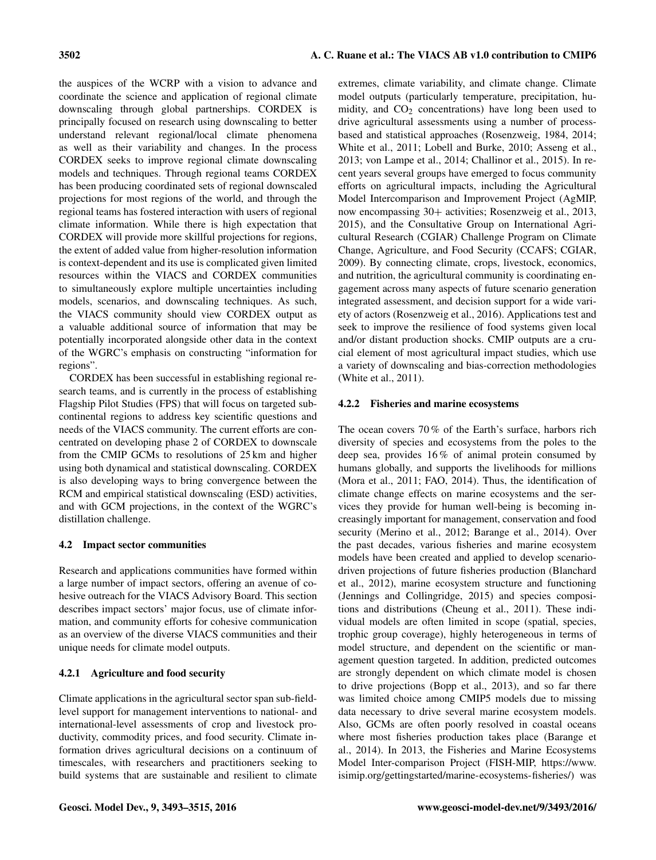the auspices of the WCRP with a vision to advance and coordinate the science and application of regional climate downscaling through global partnerships. CORDEX is principally focused on research using downscaling to better understand relevant regional/local climate phenomena as well as their variability and changes. In the process CORDEX seeks to improve regional climate downscaling models and techniques. Through regional teams CORDEX has been producing coordinated sets of regional downscaled projections for most regions of the world, and through the regional teams has fostered interaction with users of regional climate information. While there is high expectation that CORDEX will provide more skillful projections for regions, the extent of added value from higher-resolution information is context-dependent and its use is complicated given limited resources within the VIACS and CORDEX communities to simultaneously explore multiple uncertainties including models, scenarios, and downscaling techniques. As such, the VIACS community should view CORDEX output as a valuable additional source of information that may be potentially incorporated alongside other data in the context of the WGRC's emphasis on constructing "information for regions".

CORDEX has been successful in establishing regional research teams, and is currently in the process of establishing Flagship Pilot Studies (FPS) that will focus on targeted subcontinental regions to address key scientific questions and needs of the VIACS community. The current efforts are concentrated on developing phase 2 of CORDEX to downscale from the CMIP GCMs to resolutions of 25 km and higher using both dynamical and statistical downscaling. CORDEX is also developing ways to bring convergence between the RCM and empirical statistical downscaling (ESD) activities, and with GCM projections, in the context of the WGRC's distillation challenge.

# 4.2 Impact sector communities

Research and applications communities have formed within a large number of impact sectors, offering an avenue of cohesive outreach for the VIACS Advisory Board. This section describes impact sectors' major focus, use of climate information, and community efforts for cohesive communication as an overview of the diverse VIACS communities and their unique needs for climate model outputs.

# 4.2.1 Agriculture and food security

Climate applications in the agricultural sector span sub-fieldlevel support for management interventions to national- and international-level assessments of crop and livestock productivity, commodity prices, and food security. Climate information drives agricultural decisions on a continuum of timescales, with researchers and practitioners seeking to build systems that are sustainable and resilient to climate

extremes, climate variability, and climate change. Climate model outputs (particularly temperature, precipitation, humidity, and  $CO<sub>2</sub>$  concentrations) have long been used to drive agricultural assessments using a number of processbased and statistical approaches (Rosenzweig, 1984, 2014; White et al., 2011; Lobell and Burke, 2010; Asseng et al., 2013; von Lampe et al., 2014; Challinor et al., 2015). In recent years several groups have emerged to focus community efforts on agricultural impacts, including the Agricultural Model Intercomparison and Improvement Project (AgMIP, now encompassing 30+ activities; Rosenzweig et al., 2013, 2015), and the Consultative Group on International Agricultural Research (CGIAR) Challenge Program on Climate Change, Agriculture, and Food Security (CCAFS; CGIAR, 2009). By connecting climate, crops, livestock, economics, and nutrition, the agricultural community is coordinating engagement across many aspects of future scenario generation integrated assessment, and decision support for a wide variety of actors (Rosenzweig et al., 2016). Applications test and seek to improve the resilience of food systems given local and/or distant production shocks. CMIP outputs are a crucial element of most agricultural impact studies, which use a variety of downscaling and bias-correction methodologies (White et al., 2011).

# 4.2.2 Fisheries and marine ecosystems

The ocean covers 70 % of the Earth's surface, harbors rich diversity of species and ecosystems from the poles to the deep sea, provides 16 % of animal protein consumed by humans globally, and supports the livelihoods for millions (Mora et al., 2011; FAO, 2014). Thus, the identification of climate change effects on marine ecosystems and the services they provide for human well-being is becoming increasingly important for management, conservation and food security (Merino et al., 2012; Barange et al., 2014). Over the past decades, various fisheries and marine ecosystem models have been created and applied to develop scenariodriven projections of future fisheries production (Blanchard et al., 2012), marine ecosystem structure and functioning (Jennings and Collingridge, 2015) and species compositions and distributions (Cheung et al., 2011). These individual models are often limited in scope (spatial, species, trophic group coverage), highly heterogeneous in terms of model structure, and dependent on the scientific or management question targeted. In addition, predicted outcomes are strongly dependent on which climate model is chosen to drive projections (Bopp et al., 2013), and so far there was limited choice among CMIP5 models due to missing data necessary to drive several marine ecosystem models. Also, GCMs are often poorly resolved in coastal oceans where most fisheries production takes place (Barange et al., 2014). In 2013, the Fisheries and Marine Ecosystems Model Inter-comparison Project (FISH-MIP, [https://www.](https://www.isimip.org/gettingstarted/marine-ecosystems-fisheries/) [isimip.org/gettingstarted/marine-ecosystems-fisheries/\)](https://www.isimip.org/gettingstarted/marine-ecosystems-fisheries/) was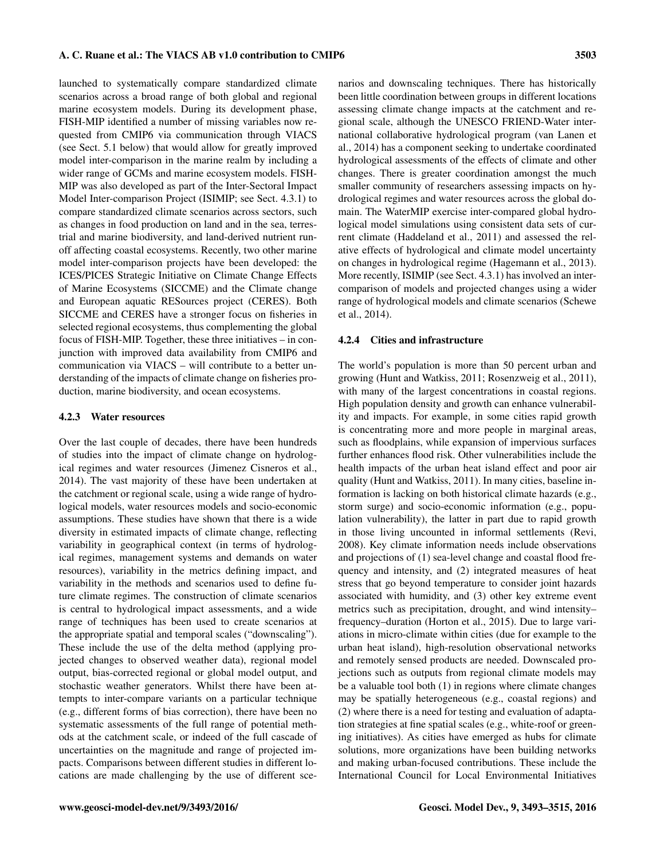launched to systematically compare standardized climate scenarios across a broad range of both global and regional marine ecosystem models. During its development phase, FISH-MIP identified a number of missing variables now requested from CMIP6 via communication through VIACS (see Sect. 5.1 below) that would allow for greatly improved model inter-comparison in the marine realm by including a wider range of GCMs and marine ecosystem models. FISH-MIP was also developed as part of the Inter-Sectoral Impact Model Inter-comparison Project (ISIMIP; see Sect. 4.3.1) to compare standardized climate scenarios across sectors, such as changes in food production on land and in the sea, terrestrial and marine biodiversity, and land-derived nutrient runoff affecting coastal ecosystems. Recently, two other marine model inter-comparison projects have been developed: the ICES/PICES Strategic Initiative on Climate Change Effects of Marine Ecosystems (SICCME) and the Climate change and European aquatic RESources project (CERES). Both SICCME and CERES have a stronger focus on fisheries in selected regional ecosystems, thus complementing the global focus of FISH-MIP. Together, these three initiatives – in conjunction with improved data availability from CMIP6 and communication via VIACS – will contribute to a better understanding of the impacts of climate change on fisheries production, marine biodiversity, and ocean ecosystems.

#### 4.2.3 Water resources

Over the last couple of decades, there have been hundreds of studies into the impact of climate change on hydrological regimes and water resources (Jimenez Cisneros et al., 2014). The vast majority of these have been undertaken at the catchment or regional scale, using a wide range of hydrological models, water resources models and socio-economic assumptions. These studies have shown that there is a wide diversity in estimated impacts of climate change, reflecting variability in geographical context (in terms of hydrological regimes, management systems and demands on water resources), variability in the metrics defining impact, and variability in the methods and scenarios used to define future climate regimes. The construction of climate scenarios is central to hydrological impact assessments, and a wide range of techniques has been used to create scenarios at the appropriate spatial and temporal scales ("downscaling"). These include the use of the delta method (applying projected changes to observed weather data), regional model output, bias-corrected regional or global model output, and stochastic weather generators. Whilst there have been attempts to inter-compare variants on a particular technique (e.g., different forms of bias correction), there have been no systematic assessments of the full range of potential methods at the catchment scale, or indeed of the full cascade of uncertainties on the magnitude and range of projected impacts. Comparisons between different studies in different locations are made challenging by the use of different scenarios and downscaling techniques. There has historically been little coordination between groups in different locations assessing climate change impacts at the catchment and regional scale, although the UNESCO FRIEND-Water international collaborative hydrological program (van Lanen et al., 2014) has a component seeking to undertake coordinated hydrological assessments of the effects of climate and other changes. There is greater coordination amongst the much smaller community of researchers assessing impacts on hydrological regimes and water resources across the global domain. The WaterMIP exercise inter-compared global hydrological model simulations using consistent data sets of current climate (Haddeland et al., 2011) and assessed the relative effects of hydrological and climate model uncertainty on changes in hydrological regime (Hagemann et al., 2013). More recently, ISIMIP (see Sect. 4.3.1) has involved an intercomparison of models and projected changes using a wider range of hydrological models and climate scenarios (Schewe et al., 2014).

#### 4.2.4 Cities and infrastructure

The world's population is more than 50 percent urban and growing (Hunt and Watkiss, 2011; Rosenzweig et al., 2011), with many of the largest concentrations in coastal regions. High population density and growth can enhance vulnerability and impacts. For example, in some cities rapid growth is concentrating more and more people in marginal areas, such as floodplains, while expansion of impervious surfaces further enhances flood risk. Other vulnerabilities include the health impacts of the urban heat island effect and poor air quality (Hunt and Watkiss, 2011). In many cities, baseline information is lacking on both historical climate hazards (e.g., storm surge) and socio-economic information (e.g., population vulnerability), the latter in part due to rapid growth in those living uncounted in informal settlements (Revi, 2008). Key climate information needs include observations and projections of (1) sea-level change and coastal flood frequency and intensity, and (2) integrated measures of heat stress that go beyond temperature to consider joint hazards associated with humidity, and (3) other key extreme event metrics such as precipitation, drought, and wind intensity– frequency–duration (Horton et al., 2015). Due to large variations in micro-climate within cities (due for example to the urban heat island), high-resolution observational networks and remotely sensed products are needed. Downscaled projections such as outputs from regional climate models may be a valuable tool both (1) in regions where climate changes may be spatially heterogeneous (e.g., coastal regions) and (2) where there is a need for testing and evaluation of adaptation strategies at fine spatial scales (e.g., white-roof or greening initiatives). As cities have emerged as hubs for climate solutions, more organizations have been building networks and making urban-focused contributions. These include the International Council for Local Environmental Initiatives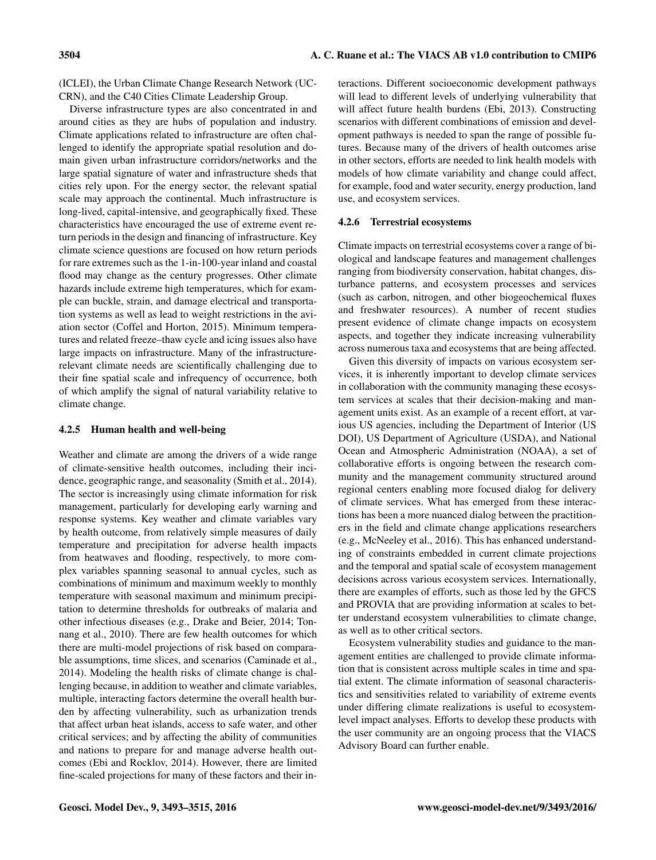(ICLEI), the Urban Climate Change Research Network (UC-CRN), and the C40 Cities Climate Leadership Group.

Diverse infrastructure types are also concentrated in and around cities as they are hubs of population and industry. Climate applications related to infrastructure are often challenged to identify the appropriate spatial resolution and domain given urban infrastructure corridors/networks and the large spatial signature of water and infrastructure sheds that cities rely upon. For the energy sector, the relevant spatial scale may approach the continental. Much infrastructure is long-lived, capital-intensive, and geographically fixed. These characteristics have encouraged the use of extreme event return periods in the design and financing of infrastructure. Key climate science questions are focused on how return periods for rare extremes such as the 1-in-100-year inland and coastal flood may change as the century progresses. Other climate hazards include extreme high temperatures, which for example can buckle, strain, and damage electrical and transportation systems as well as lead to weight restrictions in the aviation sector (Coffel and Horton, 2015). Minimum temperatures and related freeze–thaw cycle and icing issues also have large impacts on infrastructure. Many of the infrastructurerelevant climate needs are scientifically challenging due to their fine spatial scale and infrequency of occurrence, both of which amplify the signal of natural variability relative to climate change.

#### 4.2.5 Human health and well-being

Weather and climate are among the drivers of a wide range of climate-sensitive health outcomes, including their incidence, geographic range, and seasonality (Smith et al., 2014). The sector is increasingly using climate information for risk management, particularly for developing early warning and response systems. Key weather and climate variables vary by health outcome, from relatively simple measures of daily temperature and precipitation for adverse health impacts from heatwaves and flooding, respectively, to more complex variables spanning seasonal to annual cycles, such as combinations of minimum and maximum weekly to monthly temperature with seasonal maximum and minimum precipitation to determine thresholds for outbreaks of malaria and other infectious diseases (e.g., Drake and Beier, 2014; Tonnang et al., 2010). There are few health outcomes for which there are multi-model projections of risk based on comparable assumptions, time slices, and scenarios (Caminade et al., 2014). Modeling the health risks of climate change is challenging because, in addition to weather and climate variables, multiple, interacting factors determine the overall health burden by affecting vulnerability, such as urbanization trends that affect urban heat islands, access to safe water, and other critical services; and by affecting the ability of communities and nations to prepare for and manage adverse health outcomes (Ebi and Rocklov, 2014). However, there are limited fine-scaled projections for many of these factors and their interactions. Different socioeconomic development pathways will lead to different levels of underlying vulnerability that will affect future health burdens (Ebi, 2013). Constructing scenarios with different combinations of emission and development pathways is needed to span the range of possible futures. Because many of the drivers of health outcomes arise in other sectors, efforts are needed to link health models with models of how climate variability and change could affect, for example, food and water security, energy production, land use, and ecosystem services.

#### 4.2.6 Terrestrial ecosystems

Climate impacts on terrestrial ecosystems cover a range of biological and landscape features and management challenges ranging from biodiversity conservation, habitat changes, disturbance patterns, and ecosystem processes and services (such as carbon, nitrogen, and other biogeochemical fluxes and freshwater resources). A number of recent studies present evidence of climate change impacts on ecosystem aspects, and together they indicate increasing vulnerability across numerous taxa and ecosystems that are being affected.

Given this diversity of impacts on various ecosystem services, it is inherently important to develop climate services in collaboration with the community managing these ecosystem services at scales that their decision-making and management units exist. As an example of a recent effort, at various US agencies, including the Department of Interior (US DOI), US Department of Agriculture (USDA), and National Ocean and Atmospheric Administration (NOAA), a set of collaborative efforts is ongoing between the research community and the management community structured around regional centers enabling more focused dialog for delivery of climate services. What has emerged from these interactions has been a more nuanced dialog between the practitioners in the field and climate change applications researchers (e.g., McNeeley et al., 2016). This has enhanced understanding of constraints embedded in current climate projections and the temporal and spatial scale of ecosystem management decisions across various ecosystem services. Internationally, there are examples of efforts, such as those led by the GFCS and PROVIA that are providing information at scales to better understand ecosystem vulnerabilities to climate change, as well as to other critical sectors.

Ecosystem vulnerability studies and guidance to the management entities are challenged to provide climate information that is consistent across multiple scales in time and spatial extent. The climate information of seasonal characteristics and sensitivities related to variability of extreme events under differing climate realizations is useful to ecosystemlevel impact analyses. Efforts to develop these products with the user community are an ongoing process that the VIACS Advisory Board can further enable.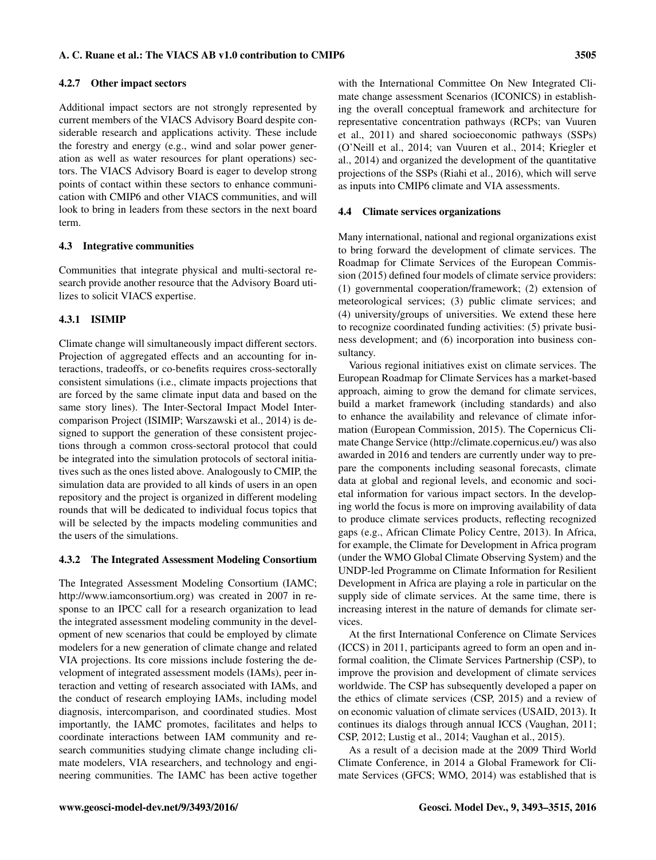#### 4.2.7 Other impact sectors

Additional impact sectors are not strongly represented by current members of the VIACS Advisory Board despite considerable research and applications activity. These include the forestry and energy (e.g., wind and solar power generation as well as water resources for plant operations) sectors. The VIACS Advisory Board is eager to develop strong points of contact within these sectors to enhance communication with CMIP6 and other VIACS communities, and will look to bring in leaders from these sectors in the next board term.

#### 4.3 Integrative communities

Communities that integrate physical and multi-sectoral research provide another resource that the Advisory Board utilizes to solicit VIACS expertise.

#### 4.3.1 ISIMIP

Climate change will simultaneously impact different sectors. Projection of aggregated effects and an accounting for interactions, tradeoffs, or co-benefits requires cross-sectorally consistent simulations (i.e., climate impacts projections that are forced by the same climate input data and based on the same story lines). The Inter-Sectoral Impact Model Intercomparison Project (ISIMIP; Warszawski et al., 2014) is designed to support the generation of these consistent projections through a common cross-sectoral protocol that could be integrated into the simulation protocols of sectoral initiatives such as the ones listed above. Analogously to CMIP, the simulation data are provided to all kinds of users in an open repository and the project is organized in different modeling rounds that will be dedicated to individual focus topics that will be selected by the impacts modeling communities and the users of the simulations.

#### 4.3.2 The Integrated Assessment Modeling Consortium

The Integrated Assessment Modeling Consortium (IAMC; [http://www.iamconsortium.org\)](http://www.iamconsortium.org) was created in 2007 in response to an IPCC call for a research organization to lead the integrated assessment modeling community in the development of new scenarios that could be employed by climate modelers for a new generation of climate change and related VIA projections. Its core missions include fostering the development of integrated assessment models (IAMs), peer interaction and vetting of research associated with IAMs, and the conduct of research employing IAMs, including model diagnosis, intercomparison, and coordinated studies. Most importantly, the IAMC promotes, facilitates and helps to coordinate interactions between IAM community and research communities studying climate change including climate modelers, VIA researchers, and technology and engineering communities. The IAMC has been active together

with the International Committee On New Integrated Climate change assessment Scenarios (ICONICS) in establishing the overall conceptual framework and architecture for representative concentration pathways (RCPs; van Vuuren et al., 2011) and shared socioeconomic pathways (SSPs) (O'Neill et al., 2014; van Vuuren et al., 2014; Kriegler et al., 2014) and organized the development of the quantitative projections of the SSPs (Riahi et al., 2016), which will serve as inputs into CMIP6 climate and VIA assessments.

#### 4.4 Climate services organizations

Many international, national and regional organizations exist to bring forward the development of climate services. The Roadmap for Climate Services of the European Commission (2015) defined four models of climate service providers: (1) governmental cooperation/framework; (2) extension of meteorological services; (3) public climate services; and (4) university/groups of universities. We extend these here to recognize coordinated funding activities: (5) private business development; and (6) incorporation into business consultancy.

Various regional initiatives exist on climate services. The European Roadmap for Climate Services has a market-based approach, aiming to grow the demand for climate services, build a market framework (including standards) and also to enhance the availability and relevance of climate information (European Commission, 2015). The Copernicus Climate Change Service [\(http://climate.copernicus.eu/\)](http://climate.copernicus.eu/) was also awarded in 2016 and tenders are currently under way to prepare the components including seasonal forecasts, climate data at global and regional levels, and economic and societal information for various impact sectors. In the developing world the focus is more on improving availability of data to produce climate services products, reflecting recognized gaps (e.g., African Climate Policy Centre, 2013). In Africa, for example, the Climate for Development in Africa program (under the WMO Global Climate Observing System) and the UNDP-led Programme on Climate Information for Resilient Development in Africa are playing a role in particular on the supply side of climate services. At the same time, there is increasing interest in the nature of demands for climate services.

At the first International Conference on Climate Services (ICCS) in 2011, participants agreed to form an open and informal coalition, the Climate Services Partnership (CSP), to improve the provision and development of climate services worldwide. The CSP has subsequently developed a paper on the ethics of climate services (CSP, 2015) and a review of on economic valuation of climate services (USAID, 2013). It continues its dialogs through annual ICCS (Vaughan, 2011; CSP, 2012; Lustig et al., 2014; Vaughan et al., 2015).

As a result of a decision made at the 2009 Third World Climate Conference, in 2014 a Global Framework for Climate Services (GFCS; WMO, 2014) was established that is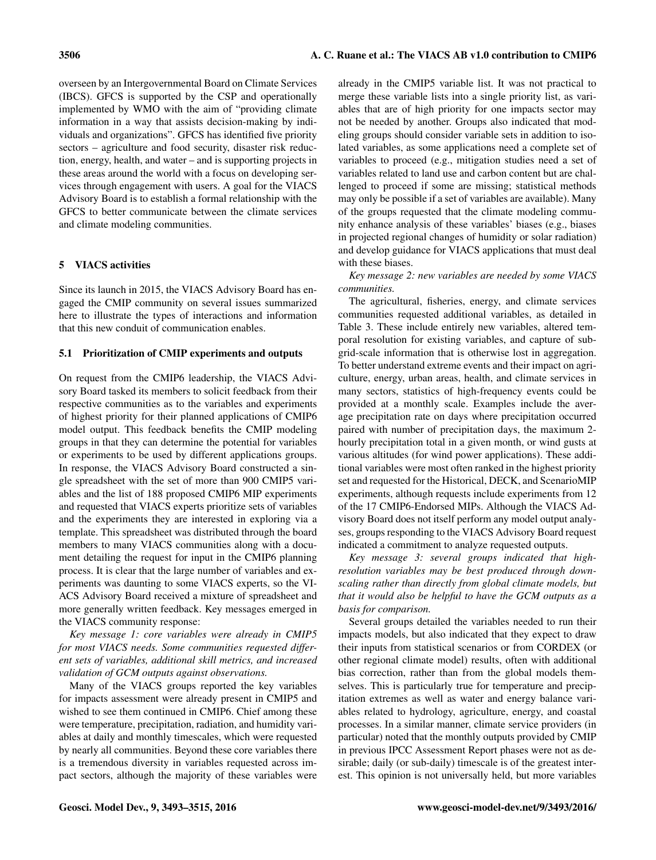overseen by an Intergovernmental Board on Climate Services (IBCS). GFCS is supported by the CSP and operationally implemented by WMO with the aim of "providing climate information in a way that assists decision-making by individuals and organizations". GFCS has identified five priority sectors – agriculture and food security, disaster risk reduction, energy, health, and water – and is supporting projects in these areas around the world with a focus on developing services through engagement with users. A goal for the VIACS Advisory Board is to establish a formal relationship with the GFCS to better communicate between the climate services and climate modeling communities.

# 5 VIACS activities

Since its launch in 2015, the VIACS Advisory Board has engaged the CMIP community on several issues summarized here to illustrate the types of interactions and information that this new conduit of communication enables.

#### 5.1 Prioritization of CMIP experiments and outputs

On request from the CMIP6 leadership, the VIACS Advisory Board tasked its members to solicit feedback from their respective communities as to the variables and experiments of highest priority for their planned applications of CMIP6 model output. This feedback benefits the CMIP modeling groups in that they can determine the potential for variables or experiments to be used by different applications groups. In response, the VIACS Advisory Board constructed a single spreadsheet with the set of more than 900 CMIP5 variables and the list of 188 proposed CMIP6 MIP experiments and requested that VIACS experts prioritize sets of variables and the experiments they are interested in exploring via a template. This spreadsheet was distributed through the board members to many VIACS communities along with a document detailing the request for input in the CMIP6 planning process. It is clear that the large number of variables and experiments was daunting to some VIACS experts, so the VI-ACS Advisory Board received a mixture of spreadsheet and more generally written feedback. Key messages emerged in the VIACS community response:

*Key message 1: core variables were already in CMIP5 for most VIACS needs. Some communities requested different sets of variables, additional skill metrics, and increased validation of GCM outputs against observations.*

Many of the VIACS groups reported the key variables for impacts assessment were already present in CMIP5 and wished to see them continued in CMIP6. Chief among these were temperature, precipitation, radiation, and humidity variables at daily and monthly timescales, which were requested by nearly all communities. Beyond these core variables there is a tremendous diversity in variables requested across impact sectors, although the majority of these variables were already in the CMIP5 variable list. It was not practical to merge these variable lists into a single priority list, as variables that are of high priority for one impacts sector may not be needed by another. Groups also indicated that modeling groups should consider variable sets in addition to isolated variables, as some applications need a complete set of variables to proceed (e.g., mitigation studies need a set of variables related to land use and carbon content but are challenged to proceed if some are missing; statistical methods may only be possible if a set of variables are available). Many of the groups requested that the climate modeling community enhance analysis of these variables' biases (e.g., biases in projected regional changes of humidity or solar radiation) and develop guidance for VIACS applications that must deal with these biases.

*Key message 2: new variables are needed by some VIACS communities.*

The agricultural, fisheries, energy, and climate services communities requested additional variables, as detailed in Table 3. These include entirely new variables, altered temporal resolution for existing variables, and capture of subgrid-scale information that is otherwise lost in aggregation. To better understand extreme events and their impact on agriculture, energy, urban areas, health, and climate services in many sectors, statistics of high-frequency events could be provided at a monthly scale. Examples include the average precipitation rate on days where precipitation occurred paired with number of precipitation days, the maximum 2 hourly precipitation total in a given month, or wind gusts at various altitudes (for wind power applications). These additional variables were most often ranked in the highest priority set and requested for the Historical, DECK, and ScenarioMIP experiments, although requests include experiments from 12 of the 17 CMIP6-Endorsed MIPs. Although the VIACS Advisory Board does not itself perform any model output analyses, groups responding to the VIACS Advisory Board request indicated a commitment to analyze requested outputs.

*Key message 3: several groups indicated that highresolution variables may be best produced through downscaling rather than directly from global climate models, but that it would also be helpful to have the GCM outputs as a basis for comparison.*

Several groups detailed the variables needed to run their impacts models, but also indicated that they expect to draw their inputs from statistical scenarios or from CORDEX (or other regional climate model) results, often with additional bias correction, rather than from the global models themselves. This is particularly true for temperature and precipitation extremes as well as water and energy balance variables related to hydrology, agriculture, energy, and coastal processes. In a similar manner, climate service providers (in particular) noted that the monthly outputs provided by CMIP in previous IPCC Assessment Report phases were not as desirable; daily (or sub-daily) timescale is of the greatest interest. This opinion is not universally held, but more variables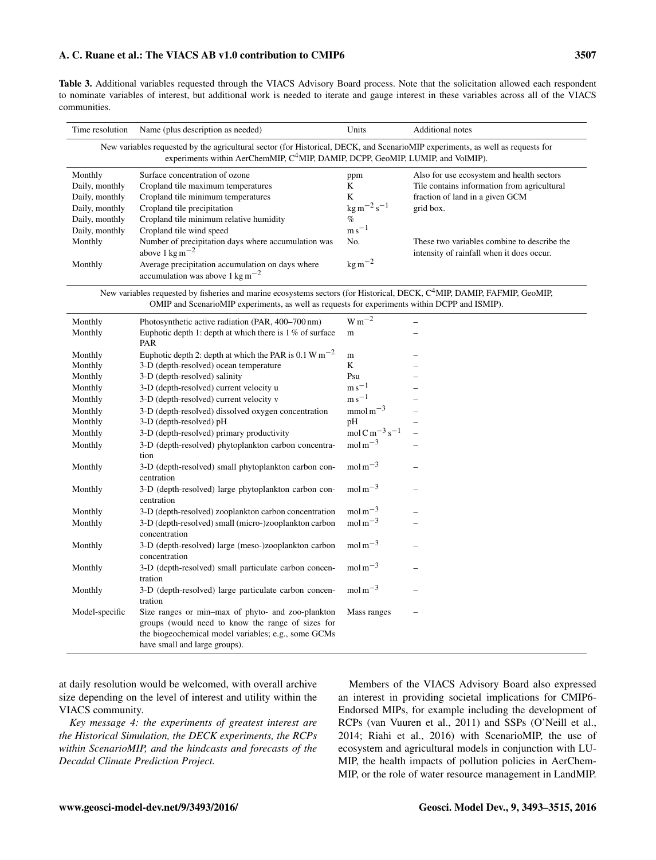## A. C. Ruane et al.: The VIACS AB v1.0 contribution to CMIP6 3507

Table 3. Additional variables requested through the VIACS Advisory Board process. Note that the solicitation allowed each respondent to nominate variables of interest, but additional work is needed to iterate and gauge interest in these variables across all of the VIACS communities.

| Time resolution                                                                                                                                                                                                               | Name (plus description as needed)                                                                                                                                                              | Units                                                                                   | Additional notes                                                                                                                         |
|-------------------------------------------------------------------------------------------------------------------------------------------------------------------------------------------------------------------------------|------------------------------------------------------------------------------------------------------------------------------------------------------------------------------------------------|-----------------------------------------------------------------------------------------|------------------------------------------------------------------------------------------------------------------------------------------|
| New variables requested by the agricultural sector (for Historical, DECK, and ScenarioMIP experiments, as well as requests for<br>experiments within AerChemMIP, C <sup>4</sup> MIP, DAMIP, DCPP, GeoMIP, LUMIP, and VolMIP). |                                                                                                                                                                                                |                                                                                         |                                                                                                                                          |
| Monthly<br>Daily, monthly<br>Daily, monthly<br>Daily, monthly<br>Daily, monthly                                                                                                                                               | Surface concentration of ozone<br>Cropland tile maximum temperatures<br>Cropland tile minimum temperatures<br>Cropland tile precipitation<br>Cropland tile minimum relative humidity           | ppm<br>K<br>$\bf K$<br>$\text{kg m}^{-2} \text{s}^{-1}$<br>$\%$                         | Also for use ecosystem and health sectors<br>Tile contains information from agricultural<br>fraction of land in a given GCM<br>grid box. |
| Daily, monthly<br>Monthly<br>Monthly                                                                                                                                                                                          | Cropland tile wind speed<br>Number of precipitation days where accumulation was<br>above $1 \text{ kg m}^{-2}$<br>Average precipitation accumulation on days where                             | $\mathrm{m}\,\mathrm{s}^{-1}$<br>No.<br>$kg m^{-2}$                                     | These two variables combine to describe the<br>intensity of rainfall when it does occur.                                                 |
|                                                                                                                                                                                                                               | accumulation was above $1 \text{ kg m}^{-2}$<br>New variables requested by fisheries and marine ecosystems sectors (for Historical, DECK, C <sup>4</sup> MIP, DAMIP, FAFMIP, GeoMIP,           |                                                                                         |                                                                                                                                          |
|                                                                                                                                                                                                                               | OMIP and ScenarioMIP experiments, as well as requests for experiments within DCPP and ISMIP).                                                                                                  |                                                                                         |                                                                                                                                          |
| Monthly<br>Monthly                                                                                                                                                                                                            | Photosynthetic active radiation (PAR, 400-700 nm)<br>Euphotic depth 1: depth at which there is $1\%$ of surface<br>PAR                                                                         | $\mathrm{W\,m^{-2}}$<br>$\mathbf m$                                                     |                                                                                                                                          |
| Monthly<br>Monthly<br>Monthly                                                                                                                                                                                                 | Euphotic depth 2: depth at which the PAR is 0.1 W m <sup>-2</sup><br>3-D (depth-resolved) ocean temperature<br>3-D (depth-resolved) salinity                                                   | $\mathbf m$<br>K<br>Psu                                                                 |                                                                                                                                          |
| Monthly<br>Monthly                                                                                                                                                                                                            | 3-D (depth-resolved) current velocity u<br>3-D (depth-resolved) current velocity v                                                                                                             | $\mathrm{m}\,\mathrm{s}^{-1}$<br>$m s^{-1}$                                             |                                                                                                                                          |
| Monthly<br>Monthly<br>Monthly                                                                                                                                                                                                 | 3-D (depth-resolved) dissolved oxygen concentration<br>3-D (depth-resolved) pH<br>3-D (depth-resolved) primary productivity                                                                    | $mmol\,m^{-3}$<br>pH<br>mol C m <sup><math>-3</math></sup> s <sup><math>-1</math></sup> |                                                                                                                                          |
| Monthly                                                                                                                                                                                                                       | 3-D (depth-resolved) phytoplankton carbon concentra-<br>tion                                                                                                                                   | $mol\,\mathrm{m}^{-3}$                                                                  |                                                                                                                                          |
| Monthly<br>Monthly                                                                                                                                                                                                            | 3-D (depth-resolved) small phytoplankton carbon con-<br>centration<br>3-D (depth-resolved) large phytoplankton carbon con-                                                                     | $mol\,\mathrm{m}^{-3}$<br>mol m $^{-3}$                                                 |                                                                                                                                          |
| Monthly<br>Monthly                                                                                                                                                                                                            | centration<br>3-D (depth-resolved) zooplankton carbon concentration<br>3-D (depth-resolved) small (micro-)zooplankton carbon                                                                   | $mol\,m^{-3}$<br>$mol\,\mathrm{m}^{-3}$                                                 |                                                                                                                                          |
| Monthly                                                                                                                                                                                                                       | concentration<br>3-D (depth-resolved) large (meso-)zooplankton carbon                                                                                                                          | mol m $^{-3}$                                                                           |                                                                                                                                          |
| Monthly                                                                                                                                                                                                                       | concentration<br>3-D (depth-resolved) small particulate carbon concen-<br>tration                                                                                                              | $mol\,\mathrm{m}^{-3}$                                                                  |                                                                                                                                          |
| Monthly                                                                                                                                                                                                                       | 3-D (depth-resolved) large particulate carbon concen-<br>tration                                                                                                                               | $mol\,\mathrm{m}^{-3}$                                                                  |                                                                                                                                          |
| Model-specific                                                                                                                                                                                                                | Size ranges or min-max of phyto- and zoo-plankton<br>groups (would need to know the range of sizes for<br>the biogeochemical model variables; e.g., some GCMs<br>have small and large groups). | Mass ranges                                                                             |                                                                                                                                          |

at daily resolution would be welcomed, with overall archive size depending on the level of interest and utility within the VIACS community.

*Key message 4: the experiments of greatest interest are the Historical Simulation, the DECK experiments, the RCPs within ScenarioMIP, and the hindcasts and forecasts of the Decadal Climate Prediction Project.*

Members of the VIACS Advisory Board also expressed an interest in providing societal implications for CMIP6- Endorsed MIPs, for example including the development of RCPs (van Vuuren et al., 2011) and SSPs (O'Neill et al., 2014; Riahi et al., 2016) with ScenarioMIP, the use of ecosystem and agricultural models in conjunction with LU-MIP, the health impacts of pollution policies in AerChem-MIP, or the role of water resource management in LandMIP.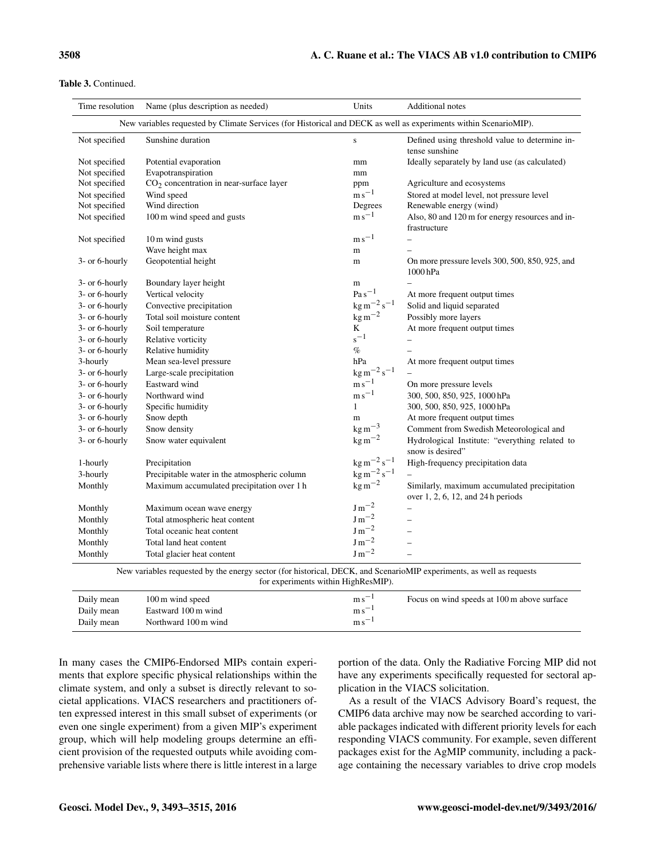#### Table 3. Continued.

| Time resolution                                                                                                                                             | Name (plus description as needed)            | Units                             | Additional notes                                                   |  |
|-------------------------------------------------------------------------------------------------------------------------------------------------------------|----------------------------------------------|-----------------------------------|--------------------------------------------------------------------|--|
| New variables requested by Climate Services (for Historical and DECK as well as experiments within ScenarioMIP).                                            |                                              |                                   |                                                                    |  |
| Not specified                                                                                                                                               | Sunshine duration                            | ${\bf S}$                         | Defined using threshold value to determine in-<br>tense sunshine   |  |
| Not specified                                                                                                                                               | Potential evaporation                        | mm                                | Ideally separately by land use (as calculated)                     |  |
| Not specified                                                                                                                                               | Evapotranspiration                           | mm                                |                                                                    |  |
| Not specified                                                                                                                                               | $CO2$ concentration in near-surface layer    | ppm                               | Agriculture and ecosystems                                         |  |
| Not specified                                                                                                                                               | Wind speed                                   | $\mathrm{m}\,\mathrm{s}^{-1}$     | Stored at model level, not pressure level                          |  |
| Not specified                                                                                                                                               | Wind direction                               | Degrees                           | Renewable energy (wind)                                            |  |
| Not specified                                                                                                                                               | 100 m wind speed and gusts                   | $\rm m\,s^{-1}$                   | Also, 80 and 120 m for energy resources and in-<br>frastructure    |  |
| Not specified                                                                                                                                               | 10 m wind gusts                              | $\mathrm{m}\,\mathrm{s}^{-1}$     |                                                                    |  |
|                                                                                                                                                             | Wave height max                              | m                                 |                                                                    |  |
| 3- or 6-hourly                                                                                                                                              | Geopotential height                          | m                                 | On more pressure levels 300, 500, 850, 925, and<br>1000 hPa        |  |
| 3- or 6-hourly                                                                                                                                              | Boundary layer height                        | m                                 |                                                                    |  |
| 3- or 6-hourly                                                                                                                                              | Vertical velocity                            | $Pa s^{-1}$                       | At more frequent output times                                      |  |
| 3- or 6-hourly                                                                                                                                              | Convective precipitation                     | $\text{kg m}^{-2} \text{ s}^{-1}$ | Solid and liquid separated                                         |  |
| 3- or 6-hourly                                                                                                                                              | Total soil moisture content                  | $\text{kg m}^{-2}$                | Possibly more layers                                               |  |
| 3- or 6-hourly                                                                                                                                              | Soil temperature                             | K                                 | At more frequent output times                                      |  |
| 3- or 6-hourly                                                                                                                                              | Relative vorticity                           | $s^{-1}$                          |                                                                    |  |
| 3- or 6-hourly                                                                                                                                              | Relative humidity                            | $\%$                              |                                                                    |  |
| 3-hourly                                                                                                                                                    | Mean sea-level pressure                      | hPa                               | At more frequent output times                                      |  |
| 3- or 6-hourly                                                                                                                                              | Large-scale precipitation                    | $\rm kg\,m^{-2}\,s^{-1}$          |                                                                    |  |
| 3- or 6-hourly                                                                                                                                              | Eastward wind                                | ${\rm m\,s^{-1}}$                 | On more pressure levels                                            |  |
| 3- or 6-hourly                                                                                                                                              | Northward wind                               | $\mathrm{m}\,\mathrm{s}^{-1}$     | 300, 500, 850, 925, 1000 hPa                                       |  |
| 3- or 6-hourly                                                                                                                                              | Specific humidity                            | $\mathbf{1}$                      | 300, 500, 850, 925, 1000 hPa                                       |  |
| 3- or 6-hourly                                                                                                                                              | Snow depth                                   | m                                 | At more frequent output times                                      |  |
| 3- or 6-hourly                                                                                                                                              | Snow density                                 | $\text{kg m}^{-3}$                | Comment from Swedish Meteorological and                            |  |
| 3- or 6-hourly                                                                                                                                              | Snow water equivalent                        | $\text{kg m}^{-2}$                | Hydrological Institute: "everything related to<br>snow is desired" |  |
| 1-hourly                                                                                                                                                    | Precipitation                                | $\text{kg m}^{-2} \text{s}^{-1}$  | High-frequency precipitation data                                  |  |
| 3-hourly                                                                                                                                                    | Precipitable water in the atmospheric column | $\rm kg\,m^{-2}\,s^{-1}$          |                                                                    |  |
| Monthly                                                                                                                                                     | Maximum accumulated precipitation over 1 h   | $\rm kg\,m^{-2}$                  | Similarly, maximum accumulated precipitation                       |  |
|                                                                                                                                                             |                                              |                                   | over $1, 2, 6, 12$ , and $24h$ periods                             |  |
| Monthly                                                                                                                                                     | Maximum ocean wave energy                    | $J\,\mathrm{m}^{-2}$              |                                                                    |  |
| Monthly                                                                                                                                                     | Total atmospheric heat content               | $\rm J\,m^{-2}$                   | $\overline{\phantom{0}}$                                           |  |
| Monthly                                                                                                                                                     | Total oceanic heat content                   | $\rm J\,m^{-2}$                   | $\overline{\phantom{0}}$                                           |  |
| Monthly                                                                                                                                                     | Total land heat content                      | $\rm J\,m^{-2}$                   |                                                                    |  |
| Monthly                                                                                                                                                     | Total glacier heat content                   | $J\,\mathrm{m}^{-2}$              |                                                                    |  |
| New variables requested by the energy sector (for historical, DECK, and ScenarioMIP experiments, as well as requests<br>for experiments within HighResMIP). |                                              |                                   |                                                                    |  |

| Daily mean | 100 m wind speed     | $m s$ <sup>-</sup> | Focus on wind speeds at 100 m above surface |
|------------|----------------------|--------------------|---------------------------------------------|
| Daily mean | Eastward 100 m wind  | $ms-$              |                                             |
| Daily mean | Northward 100 m wind | $m s$ <sup>-</sup> |                                             |

In many cases the CMIP6-Endorsed MIPs contain experiments that explore specific physical relationships within the climate system, and only a subset is directly relevant to societal applications. VIACS researchers and practitioners often expressed interest in this small subset of experiments (or even one single experiment) from a given MIP's experiment group, which will help modeling groups determine an efficient provision of the requested outputs while avoiding comprehensive variable lists where there is little interest in a large

portion of the data. Only the Radiative Forcing MIP did not have any experiments specifically requested for sectoral application in the VIACS solicitation.

As a result of the VIACS Advisory Board's request, the CMIP6 data archive may now be searched according to variable packages indicated with different priority levels for each responding VIACS community. For example, seven different packages exist for the AgMIP community, including a package containing the necessary variables to drive crop models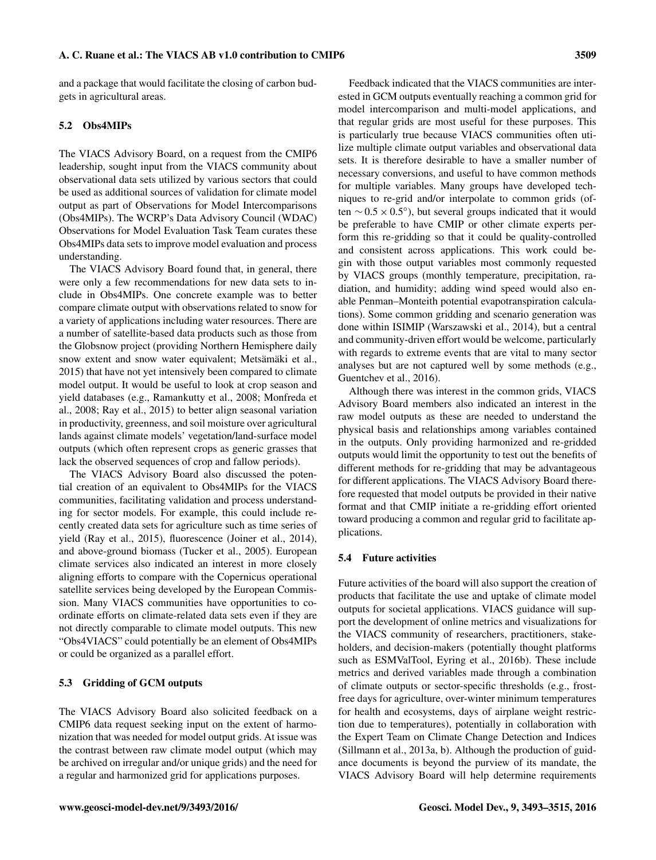and a package that would facilitate the closing of carbon budgets in agricultural areas.

# 5.2 Obs4MIPs

The VIACS Advisory Board, on a request from the CMIP6 leadership, sought input from the VIACS community about observational data sets utilized by various sectors that could be used as additional sources of validation for climate model output as part of Observations for Model Intercomparisons (Obs4MIPs). The WCRP's Data Advisory Council (WDAC) Observations for Model Evaluation Task Team curates these Obs4MIPs data sets to improve model evaluation and process understanding.

The VIACS Advisory Board found that, in general, there were only a few recommendations for new data sets to include in Obs4MIPs. One concrete example was to better compare climate output with observations related to snow for a variety of applications including water resources. There are a number of satellite-based data products such as those from the Globsnow project (providing Northern Hemisphere daily snow extent and snow water equivalent; Metsämäki et al., 2015) that have not yet intensively been compared to climate model output. It would be useful to look at crop season and yield databases (e.g., Ramankutty et al., 2008; Monfreda et al., 2008; Ray et al., 2015) to better align seasonal variation in productivity, greenness, and soil moisture over agricultural lands against climate models' vegetation/land-surface model outputs (which often represent crops as generic grasses that lack the observed sequences of crop and fallow periods).

The VIACS Advisory Board also discussed the potential creation of an equivalent to Obs4MIPs for the VIACS communities, facilitating validation and process understanding for sector models. For example, this could include recently created data sets for agriculture such as time series of yield (Ray et al., 2015), fluorescence (Joiner et al., 2014), and above-ground biomass (Tucker et al., 2005). European climate services also indicated an interest in more closely aligning efforts to compare with the Copernicus operational satellite services being developed by the European Commission. Many VIACS communities have opportunities to coordinate efforts on climate-related data sets even if they are not directly comparable to climate model outputs. This new "Obs4VIACS" could potentially be an element of Obs4MIPs or could be organized as a parallel effort.

#### 5.3 Gridding of GCM outputs

The VIACS Advisory Board also solicited feedback on a CMIP6 data request seeking input on the extent of harmonization that was needed for model output grids. At issue was the contrast between raw climate model output (which may be archived on irregular and/or unique grids) and the need for a regular and harmonized grid for applications purposes.

Feedback indicated that the VIACS communities are interested in GCM outputs eventually reaching a common grid for model intercomparison and multi-model applications, and that regular grids are most useful for these purposes. This is particularly true because VIACS communities often utilize multiple climate output variables and observational data sets. It is therefore desirable to have a smaller number of necessary conversions, and useful to have common methods for multiple variables. Many groups have developed techniques to re-grid and/or interpolate to common grids (often  $\sim$  0.5 × 0.5°), but several groups indicated that it would be preferable to have CMIP or other climate experts perform this re-gridding so that it could be quality-controlled and consistent across applications. This work could begin with those output variables most commonly requested by VIACS groups (monthly temperature, precipitation, radiation, and humidity; adding wind speed would also enable Penman–Monteith potential evapotranspiration calculations). Some common gridding and scenario generation was done within ISIMIP (Warszawski et al., 2014), but a central and community-driven effort would be welcome, particularly with regards to extreme events that are vital to many sector analyses but are not captured well by some methods (e.g., Guentchev et al., 2016).

Although there was interest in the common grids, VIACS Advisory Board members also indicated an interest in the raw model outputs as these are needed to understand the physical basis and relationships among variables contained in the outputs. Only providing harmonized and re-gridded outputs would limit the opportunity to test out the benefits of different methods for re-gridding that may be advantageous for different applications. The VIACS Advisory Board therefore requested that model outputs be provided in their native format and that CMIP initiate a re-gridding effort oriented toward producing a common and regular grid to facilitate applications.

#### 5.4 Future activities

Future activities of the board will also support the creation of products that facilitate the use and uptake of climate model outputs for societal applications. VIACS guidance will support the development of online metrics and visualizations for the VIACS community of researchers, practitioners, stakeholders, and decision-makers (potentially thought platforms such as ESMValTool, Eyring et al., 2016b). These include metrics and derived variables made through a combination of climate outputs or sector-specific thresholds (e.g., frostfree days for agriculture, over-winter minimum temperatures for health and ecosystems, days of airplane weight restriction due to temperatures), potentially in collaboration with the Expert Team on Climate Change Detection and Indices (Sillmann et al., 2013a, b). Although the production of guidance documents is beyond the purview of its mandate, the VIACS Advisory Board will help determine requirements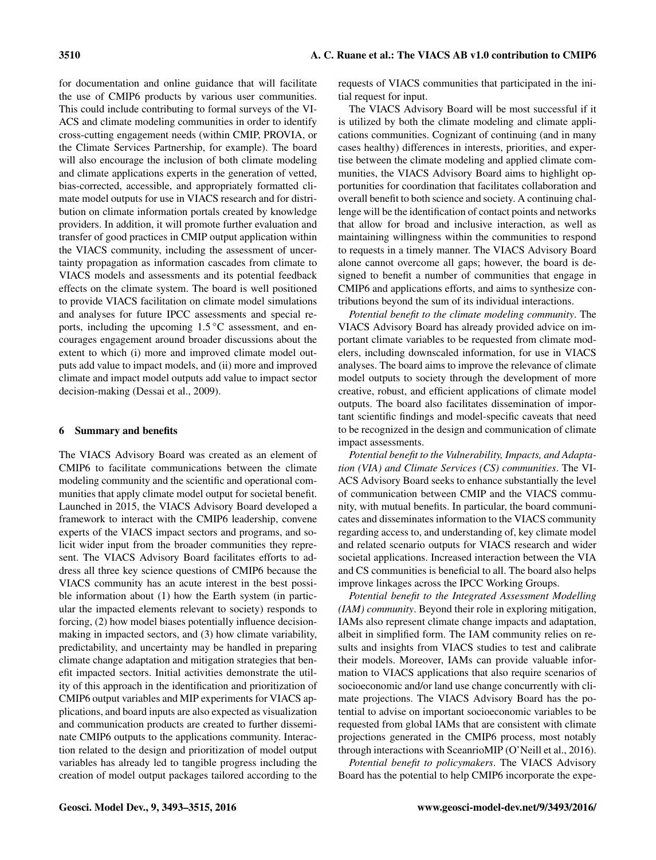for documentation and online guidance that will facilitate the use of CMIP6 products by various user communities. This could include contributing to formal surveys of the VI-ACS and climate modeling communities in order to identify cross-cutting engagement needs (within CMIP, PROVIA, or the Climate Services Partnership, for example). The board will also encourage the inclusion of both climate modeling and climate applications experts in the generation of vetted, bias-corrected, accessible, and appropriately formatted climate model outputs for use in VIACS research and for distribution on climate information portals created by knowledge providers. In addition, it will promote further evaluation and transfer of good practices in CMIP output application within the VIACS community, including the assessment of uncertainty propagation as information cascades from climate to VIACS models and assessments and its potential feedback effects on the climate system. The board is well positioned to provide VIACS facilitation on climate model simulations and analyses for future IPCC assessments and special reports, including the upcoming  $1.5\,^{\circ}\text{C}$  assessment, and encourages engagement around broader discussions about the extent to which (i) more and improved climate model outputs add value to impact models, and (ii) more and improved climate and impact model outputs add value to impact sector decision-making (Dessai et al., 2009).

#### 6 Summary and benefits

The VIACS Advisory Board was created as an element of CMIP6 to facilitate communications between the climate modeling community and the scientific and operational communities that apply climate model output for societal benefit. Launched in 2015, the VIACS Advisory Board developed a framework to interact with the CMIP6 leadership, convene experts of the VIACS impact sectors and programs, and solicit wider input from the broader communities they represent. The VIACS Advisory Board facilitates efforts to address all three key science questions of CMIP6 because the VIACS community has an acute interest in the best possible information about (1) how the Earth system (in particular the impacted elements relevant to society) responds to forcing, (2) how model biases potentially influence decisionmaking in impacted sectors, and (3) how climate variability, predictability, and uncertainty may be handled in preparing climate change adaptation and mitigation strategies that benefit impacted sectors. Initial activities demonstrate the utility of this approach in the identification and prioritization of CMIP6 output variables and MIP experiments for VIACS applications, and board inputs are also expected as visualization and communication products are created to further disseminate CMIP6 outputs to the applications community. Interaction related to the design and prioritization of model output variables has already led to tangible progress including the creation of model output packages tailored according to the requests of VIACS communities that participated in the initial request for input.

The VIACS Advisory Board will be most successful if it is utilized by both the climate modeling and climate applications communities. Cognizant of continuing (and in many cases healthy) differences in interests, priorities, and expertise between the climate modeling and applied climate communities, the VIACS Advisory Board aims to highlight opportunities for coordination that facilitates collaboration and overall benefit to both science and society. A continuing challenge will be the identification of contact points and networks that allow for broad and inclusive interaction, as well as maintaining willingness within the communities to respond to requests in a timely manner. The VIACS Advisory Board alone cannot overcome all gaps; however, the board is designed to benefit a number of communities that engage in CMIP6 and applications efforts, and aims to synthesize contributions beyond the sum of its individual interactions.

*Potential benefit to the climate modeling community*. The VIACS Advisory Board has already provided advice on important climate variables to be requested from climate modelers, including downscaled information, for use in VIACS analyses. The board aims to improve the relevance of climate model outputs to society through the development of more creative, robust, and efficient applications of climate model outputs. The board also facilitates dissemination of important scientific findings and model-specific caveats that need to be recognized in the design and communication of climate impact assessments.

*Potential benefit to the Vulnerability, Impacts, and Adaptation (VIA) and Climate Services (CS) communities*. The VI-ACS Advisory Board seeks to enhance substantially the level of communication between CMIP and the VIACS community, with mutual benefits. In particular, the board communicates and disseminates information to the VIACS community regarding access to, and understanding of, key climate model and related scenario outputs for VIACS research and wider societal applications. Increased interaction between the VIA and CS communities is beneficial to all. The board also helps improve linkages across the IPCC Working Groups.

*Potential benefit to the Integrated Assessment Modelling (IAM) community*. Beyond their role in exploring mitigation, IAMs also represent climate change impacts and adaptation, albeit in simplified form. The IAM community relies on results and insights from VIACS studies to test and calibrate their models. Moreover, IAMs can provide valuable information to VIACS applications that also require scenarios of socioeconomic and/or land use change concurrently with climate projections. The VIACS Advisory Board has the potential to advise on important socioeconomic variables to be requested from global IAMs that are consistent with climate projections generated in the CMIP6 process, most notably through interactions with SceanrioMIP (O'Neill et al., 2016).

*Potential benefit to policymakers*. The VIACS Advisory Board has the potential to help CMIP6 incorporate the expe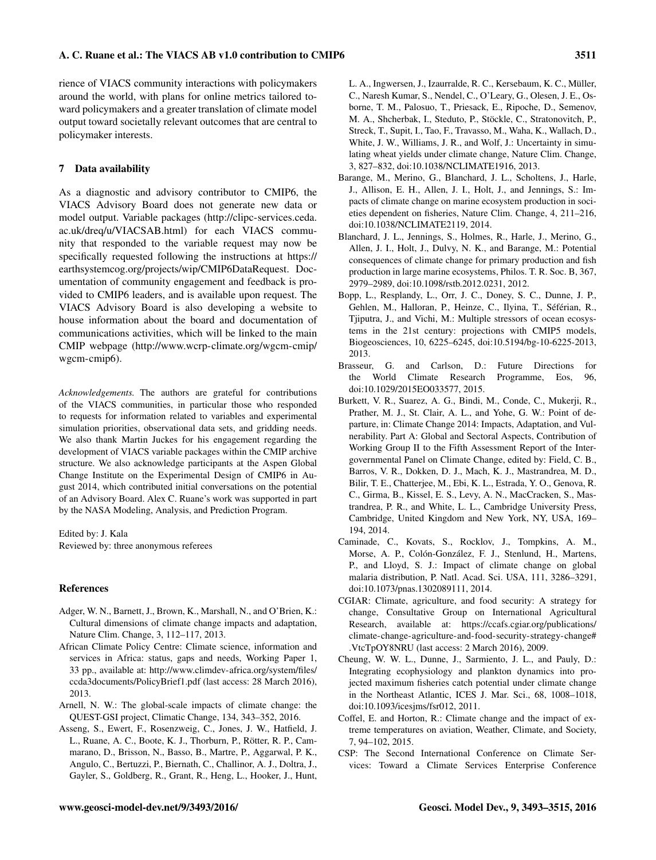rience of VIACS community interactions with policymakers around the world, with plans for online metrics tailored toward policymakers and a greater translation of climate model output toward societally relevant outcomes that are central to policymaker interests.

## 7 Data availability

As a diagnostic and advisory contributor to CMIP6, the VIACS Advisory Board does not generate new data or model output. Variable packages [\(http://clipc-services.ceda.](http://clipc-services.ceda.ac.uk/dreq/u/VIACSAB.html) [ac.uk/dreq/u/VIACSAB.html\)](http://clipc-services.ceda.ac.uk/dreq/u/VIACSAB.html) for each VIACS community that responded to the variable request may now be specifically requested following the instructions at [https://](https://earthsystemcog.org/projects/wip/CMIP6DataRequest) [earthsystemcog.org/projects/wip/CMIP6DataRequest.](https://earthsystemcog.org/projects/wip/CMIP6DataRequest) Documentation of community engagement and feedback is provided to CMIP6 leaders, and is available upon request. The VIACS Advisory Board is also developing a website to house information about the board and documentation of communications activities, which will be linked to the main CMIP webpage [\(http://www.wcrp-climate.org/wgcm-cmip/](http://www.wcrp-climate.org/wgcm-cmip/wgcm-cmip6) [wgcm-cmip6\)](http://www.wcrp-climate.org/wgcm-cmip/wgcm-cmip6).

*Acknowledgements.* The authors are grateful for contributions of the VIACS communities, in particular those who responded to requests for information related to variables and experimental simulation priorities, observational data sets, and gridding needs. We also thank Martin Juckes for his engagement regarding the development of VIACS variable packages within the CMIP archive structure. We also acknowledge participants at the Aspen Global Change Institute on the Experimental Design of CMIP6 in August 2014, which contributed initial conversations on the potential of an Advisory Board. Alex C. Ruane's work was supported in part by the NASA Modeling, Analysis, and Prediction Program.

Edited by: J. Kala Reviewed by: three anonymous referees

#### References

- Adger, W. N., Barnett, J., Brown, K., Marshall, N., and O'Brien, K.: Cultural dimensions of climate change impacts and adaptation, Nature Clim. Change, 3, 112–117, 2013.
- African Climate Policy Centre: Climate science, information and services in Africa: status, gaps and needs, Working Paper 1, 33 pp., available at: [http://www.climdev-africa.org/system/files/](http://www.climdev-africa.org/system/files/ccda3documents/Policy Brief 1.pdf) [ccda3documents/PolicyBrief1.pdf](http://www.climdev-africa.org/system/files/ccda3documents/Policy Brief 1.pdf) (last access: 28 March 2016), 2013.
- Arnell, N. W.: The global-scale impacts of climate change: the QUEST-GSI project, Climatic Change, 134, 343–352, 2016.
- Asseng, S., Ewert, F., Rosenzweig, C., Jones, J. W., Hatfield, J. L., Ruane, A. C., Boote, K. J., Thorburn, P., Rötter, R. P., Cammarano, D., Brisson, N., Basso, B., Martre, P., Aggarwal, P. K., Angulo, C., Bertuzzi, P., Biernath, C., Challinor, A. J., Doltra, J., Gayler, S., Goldberg, R., Grant, R., Heng, L., Hooker, J., Hunt,

L. A., Ingwersen, J., Izaurralde, R. C., Kersebaum, K. C., Müller, C., Naresh Kumar, S., Nendel, C., O'Leary, G., Olesen, J. E., Osborne, T. M., Palosuo, T., Priesack, E., Ripoche, D., Semenov, M. A., Shcherbak, I., Steduto, P., Stöckle, C., Stratonovitch, P., Streck, T., Supit, I., Tao, F., Travasso, M., Waha, K., Wallach, D., White, J. W., Williams, J. R., and Wolf, J.: Uncertainty in simulating wheat yields under climate change, Nature Clim. Change, 3, 827–832, doi[:10.1038/NCLIMATE1916,](http://dx.doi.org/10.1038/NCLIMATE1916) 2013.

- Barange, M., Merino, G., Blanchard, J. L., Scholtens, J., Harle, J., Allison, E. H., Allen, J. I., Holt, J., and Jennings, S.: Impacts of climate change on marine ecosystem production in societies dependent on fisheries, Nature Clim. Change, 4, 211–216, doi[:10.1038/NCLIMATE2119,](http://dx.doi.org/10.1038/NCLIMATE2119) 2014.
- Blanchard, J. L., Jennings, S., Holmes, R., Harle, J., Merino, G., Allen, J. I., Holt, J., Dulvy, N. K., and Barange, M.: Potential consequences of climate change for primary production and fish production in large marine ecosystems, Philos. T. R. Soc. B, 367, 2979–2989, doi[:10.1098/rstb.2012.0231,](http://dx.doi.org/10.1098/rstb.2012.0231) 2012.
- Bopp, L., Resplandy, L., Orr, J. C., Doney, S. C., Dunne, J. P., Gehlen, M., Halloran, P., Heinze, C., Ilyina, T., Séférian, R., Tjiputra, J., and Vichi, M.: Multiple stressors of ocean ecosystems in the 21st century: projections with CMIP5 models, Biogeosciences, 10, 6225–6245, doi[:10.5194/bg-10-6225-2013,](http://dx.doi.org/10.5194/bg-10-6225-2013) 2013.
- Brasseur, G. and Carlson, D.: Future Directions for the World Climate Research Programme, Eos, 96, doi[:10.1029/2015EO033577,](http://dx.doi.org/10.1029/2015EO033577) 2015.
- Burkett, V. R., Suarez, A. G., Bindi, M., Conde, C., Mukerji, R., Prather, M. J., St. Clair, A. L., and Yohe, G. W.: Point of departure, in: Climate Change 2014: Impacts, Adaptation, and Vulnerability. Part A: Global and Sectoral Aspects, Contribution of Working Group II to the Fifth Assessment Report of the Intergovernmental Panel on Climate Change, edited by: Field, C. B., Barros, V. R., Dokken, D. J., Mach, K. J., Mastrandrea, M. D., Bilir, T. E., Chatterjee, M., Ebi, K. L., Estrada, Y. O., Genova, R. C., Girma, B., Kissel, E. S., Levy, A. N., MacCracken, S., Mastrandrea, P. R., and White, L. L., Cambridge University Press, Cambridge, United Kingdom and New York, NY, USA, 169– 194, 2014.
- Caminade, C., Kovats, S., Rocklov, J., Tompkins, A. M., Morse, A. P., Colón-González, F. J., Stenlund, H., Martens, P., and Lloyd, S. J.: Impact of climate change on global malaria distribution, P. Natl. Acad. Sci. USA, 111, 3286–3291, doi[:10.1073/pnas.1302089111,](http://dx.doi.org/10.1073/pnas.1302089111) 2014.
- CGIAR: Climate, agriculture, and food security: A strategy for change, Consultative Group on International Agricultural Research, available at: [https://ccafs.cgiar.org/publications/](https://ccafs.cgiar.org/publications/climate-change-agriculture-and-food-security-strategy-change#.VtcTpOY8NRU) [climate-change-agriculture-and-food-security-strategy-change#](https://ccafs.cgiar.org/publications/climate-change-agriculture-and-food-security-strategy-change#.VtcTpOY8NRU) [.VtcTpOY8NRU](https://ccafs.cgiar.org/publications/climate-change-agriculture-and-food-security-strategy-change#.VtcTpOY8NRU) (last access: 2 March 2016), 2009.
- Cheung, W. W. L., Dunne, J., Sarmiento, J. L., and Pauly, D.: Integrating ecophysiology and plankton dynamics into projected maximum fisheries catch potential under climate change in the Northeast Atlantic, ICES J. Mar. Sci., 68, 1008–1018, doi[:10.1093/icesjms/fsr012,](http://dx.doi.org/10.1093/icesjms/fsr012) 2011.
- Coffel, E. and Horton, R.: Climate change and the impact of extreme temperatures on aviation, Weather, Climate, and Society, 7, 94–102, 2015.
- CSP: The Second International Conference on Climate Services: Toward a Climate Services Enterprise Conference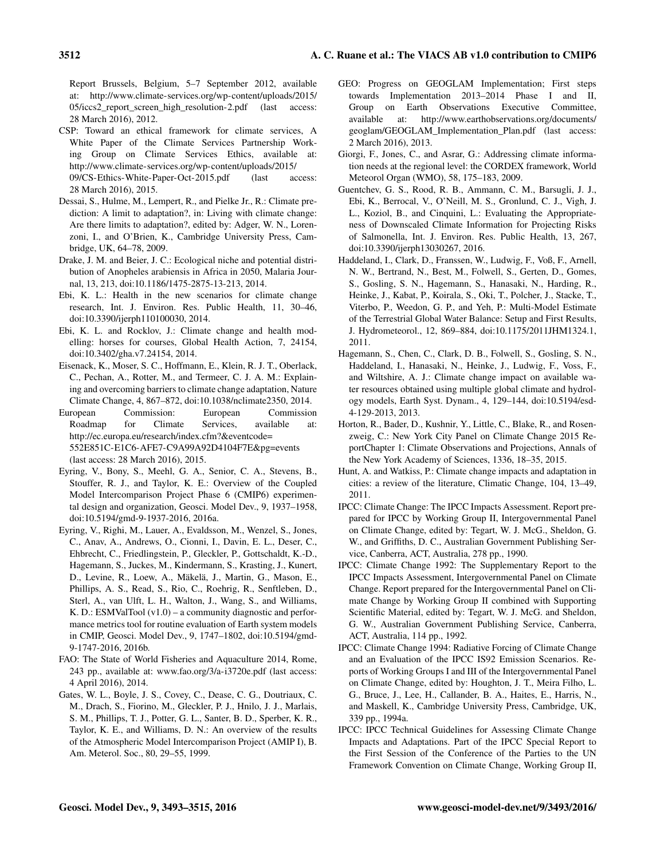Report Brussels, Belgium, 5–7 September 2012, available at: [http://www.climate-services.org/wp-content/uploads/2015/](http://www.climate-services.org/wp-content/uploads/2015/05/iccs2_report_screen_high_resolution-2.pdf) [05/iccs2\\_report\\_screen\\_high\\_resolution-2.pdf](http://www.climate-services.org/wp-content/uploads/2015/05/iccs2_report_screen_high_resolution-2.pdf) (last access: 28 March 2016), 2012.

- CSP: Toward an ethical framework for climate services, A White Paper of the Climate Services Partnership Working Group on Climate Services Ethics, available at: [http://www.climate-services.org/wp-content/uploads/2015/](http://www.climate-services.org/wp-content/uploads/2015/09/CS-Ethics-White-Paper-Oct-2015.pdf) [09/CS-Ethics-White-Paper-Oct-2015.pdf](http://www.climate-services.org/wp-content/uploads/2015/09/CS-Ethics-White-Paper-Oct-2015.pdf) (last access: 28 March 2016), 2015.
- Dessai, S., Hulme, M., Lempert, R., and Pielke Jr., R.: Climate prediction: A limit to adaptation?, in: Living with climate change: Are there limits to adaptation?, edited by: Adger, W. N., Lorenzoni, I., and O'Brien, K., Cambridge University Press, Cambridge, UK, 64–78, 2009.
- Drake, J. M. and Beier, J. C.: Ecological niche and potential distribution of Anopheles arabiensis in Africa in 2050, Malaria Journal, 13, 213, doi[:10.1186/1475-2875-13-213,](http://dx.doi.org/10.1186/1475-2875-13-213) 2014.
- Ebi, K. L.: Health in the new scenarios for climate change research, Int. J. Environ. Res. Public Health, 11, 30–46, doi[:10.3390/ijerph110100030,](http://dx.doi.org/10.3390/ijerph110100030) 2014.
- Ebi, K. L. and Rocklov, J.: Climate change and health modelling: horses for courses, Global Health Action, 7, 24154, doi[:10.3402/gha.v7.24154,](http://dx.doi.org/10.3402/gha.v7.24154) 2014.
- Eisenack, K., Moser, S. C., Hoffmann, E., Klein, R. J. T., Oberlack, C., Pechan, A., Rotter, M., and Termeer, C. J. A. M.: Explaining and overcoming barriers to climate change adaptation, Nature Climate Change, 4, 867–872, doi[:10.1038/nclimate2350,](http://dx.doi.org/10.1038/nclimate2350) 2014.
- European Commission: European Commission Roadmap for Climate Services, available at: [http://ec.europa.eu/research/index.cfm?&eventcode=](http://ec.europa.eu/research/index.cfm?&eventcode=552E851C-E1C6-AFE7-C9A99A92D4104F7E&pg=events) [552E851C-E1C6-AFE7-C9A99A92D4104F7E&pg=events](http://ec.europa.eu/research/index.cfm?&eventcode=552E851C-E1C6-AFE7-C9A99A92D4104F7E&pg=events) (last access: 28 March 2016), 2015.
- Eyring, V., Bony, S., Meehl, G. A., Senior, C. A., Stevens, B., Stouffer, R. J., and Taylor, K. E.: Overview of the Coupled Model Intercomparison Project Phase 6 (CMIP6) experimental design and organization, Geosci. Model Dev., 9, 1937–1958, doi[:10.5194/gmd-9-1937-2016,](http://dx.doi.org/10.5194/gmd-9-1937-2016) 2016a.
- Eyring, V., Righi, M., Lauer, A., Evaldsson, M., Wenzel, S., Jones, C., Anav, A., Andrews, O., Cionni, I., Davin, E. L., Deser, C., Ehbrecht, C., Friedlingstein, P., Gleckler, P., Gottschaldt, K.-D., Hagemann, S., Juckes, M., Kindermann, S., Krasting, J., Kunert, D., Levine, R., Loew, A., Mäkelä, J., Martin, G., Mason, E., Phillips, A. S., Read, S., Rio, C., Roehrig, R., Senftleben, D., Sterl, A., van Ulft, L. H., Walton, J., Wang, S., and Williams, K. D.: ESMValTool (v1.0) – a community diagnostic and performance metrics tool for routine evaluation of Earth system models in CMIP, Geosci. Model Dev., 9, 1747–1802, doi[:10.5194/gmd-](http://dx.doi.org/10.5194/gmd-9-1747-2016)[9-1747-2016,](http://dx.doi.org/10.5194/gmd-9-1747-2016) 2016b.
- FAO: The State of World Fisheries and Aquaculture 2014, Rome, 243 pp., available at: <www.fao.org/3/a-i3720e.pdf> (last access: 4 April 2016), 2014.
- Gates, W. L., Boyle, J. S., Covey, C., Dease, C. G., Doutriaux, C. M., Drach, S., Fiorino, M., Gleckler, P. J., Hnilo, J. J., Marlais, S. M., Phillips, T. J., Potter, G. L., Santer, B. D., Sperber, K. R., Taylor, K. E., and Williams, D. N.: An overview of the results of the Atmospheric Model Intercomparison Project (AMIP I), B. Am. Meterol. Soc., 80, 29–55, 1999.
- GEO: Progress on GEOGLAM Implementation; First steps towards Implementation 2013–2014 Phase I and II, Group on Earth Observations Executive Committee, available at: [http://www.earthobservations.org/documents/](http://www.earthobservations.org/documents/geoglam/GEOGLAM_Implementation_Plan.pdf) [geoglam/GEOGLAM\\_Implementation\\_Plan.pdf](http://www.earthobservations.org/documents/geoglam/GEOGLAM_Implementation_Plan.pdf) (last access: 2 March 2016), 2013.
- Giorgi, F., Jones, C., and Asrar, G.: Addressing climate information needs at the regional level: the CORDEX framework, World Meteorol Organ (WMO), 58, 175–183, 2009.
- Guentchev, G. S., Rood, R. B., Ammann, C. M., Barsugli, J. J., Ebi, K., Berrocal, V., O'Neill, M. S., Gronlund, C. J., Vigh, J. L., Koziol, B., and Cinquini, L.: Evaluating the Appropriateness of Downscaled Climate Information for Projecting Risks of Salmonella, Int. J. Environ. Res. Public Health, 13, 267, doi[:10.3390/ijerph13030267,](http://dx.doi.org/10.3390/ijerph13030267) 2016.
- Haddeland, I., Clark, D., Franssen, W., Ludwig, F., Voß, F., Arnell, N. W., Bertrand, N., Best, M., Folwell, S., Gerten, D., Gomes, S., Gosling, S. N., Hagemann, S., Hanasaki, N., Harding, R., Heinke, J., Kabat, P., Koirala, S., Oki, T., Polcher, J., Stacke, T., Viterbo, P., Weedon, G. P., and Yeh, P.: Multi-Model Estimate of the Terrestrial Global Water Balance: Setup and First Results, J. Hydrometeorol., 12, 869–884, doi[:10.1175/2011JHM1324.1,](http://dx.doi.org/10.1175/2011JHM1324.1) 2011.
- Hagemann, S., Chen, C., Clark, D. B., Folwell, S., Gosling, S. N., Haddeland, I., Hanasaki, N., Heinke, J., Ludwig, F., Voss, F., and Wiltshire, A. J.: Climate change impact on available water resources obtained using multiple global climate and hydrology models, Earth Syst. Dynam., 4, 129–144, doi[:10.5194/esd-](http://dx.doi.org/10.5194/esd-4-129-2013)[4-129-2013,](http://dx.doi.org/10.5194/esd-4-129-2013) 2013.
- Horton, R., Bader, D., Kushnir, Y., Little, C., Blake, R., and Rosenzweig, C.: New York City Panel on Climate Change 2015 ReportChapter 1: Climate Observations and Projections, Annals of the New York Academy of Sciences, 1336, 18–35, 2015.
- Hunt, A. and Watkiss, P.: Climate change impacts and adaptation in cities: a review of the literature, Climatic Change, 104, 13–49, 2011.
- IPCC: Climate Change: The IPCC Impacts Assessment. Report prepared for IPCC by Working Group II, Intergovernmental Panel on Climate Change, edited by: Tegart, W. J. McG., Sheldon, G. W., and Griffiths, D. C., Australian Government Publishing Service, Canberra, ACT, Australia, 278 pp., 1990.
- IPCC: Climate Change 1992: The Supplementary Report to the IPCC Impacts Assessment, Intergovernmental Panel on Climate Change. Report prepared for the Intergovernmental Panel on Climate Change by Working Group II combined with Supporting Scientific Material, edited by: Tegart, W. J. McG. and Sheldon, G. W., Australian Government Publishing Service, Canberra, ACT, Australia, 114 pp., 1992.
- IPCC: Climate Change 1994: Radiative Forcing of Climate Change and an Evaluation of the IPCC IS92 Emission Scenarios. Reports of Working Groups I and III of the Intergovernmental Panel on Climate Change, edited by: Houghton, J. T., Meira Filho, L. G., Bruce, J., Lee, H., Callander, B. A., Haites, E., Harris, N., and Maskell, K., Cambridge University Press, Cambridge, UK, 339 pp., 1994a.
- IPCC: IPCC Technical Guidelines for Assessing Climate Change Impacts and Adaptations. Part of the IPCC Special Report to the First Session of the Conference of the Parties to the UN Framework Convention on Climate Change, Working Group II,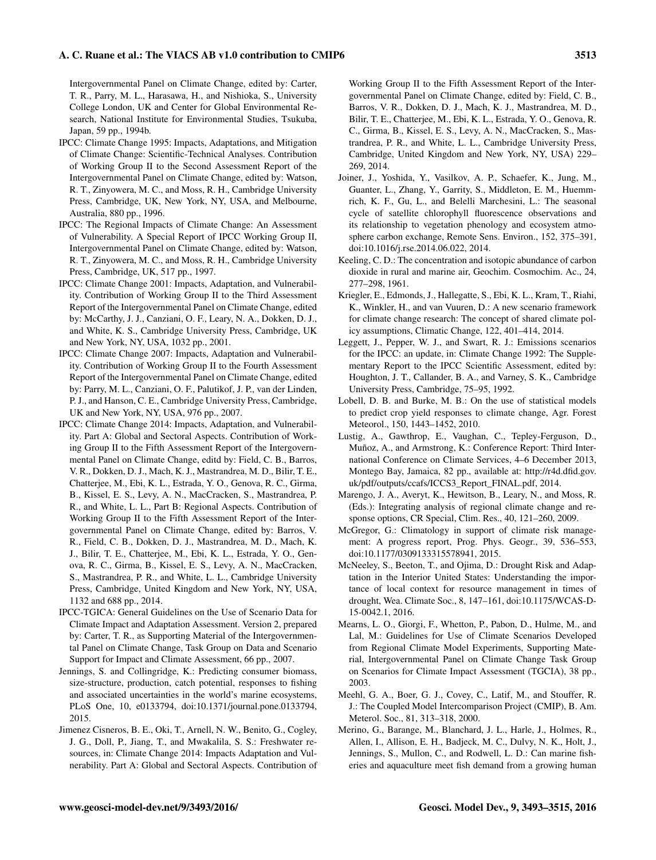#### A. C. Ruane et al.: The VIACS AB v1.0 contribution to CMIP6 3513

Intergovernmental Panel on Climate Change, edited by: Carter, T. R., Parry, M. L., Harasawa, H., and Nishioka, S., University College London, UK and Center for Global Environmental Research, National Institute for Environmental Studies, Tsukuba, Japan, 59 pp., 1994b.

- IPCC: Climate Change 1995: Impacts, Adaptations, and Mitigation of Climate Change: Scientific-Technical Analyses. Contribution of Working Group II to the Second Assessment Report of the Intergovernmental Panel on Climate Change, edited by: Watson, R. T., Zinyowera, M. C., and Moss, R. H., Cambridge University Press, Cambridge, UK, New York, NY, USA, and Melbourne, Australia, 880 pp., 1996.
- IPCC: The Regional Impacts of Climate Change: An Assessment of Vulnerability. A Special Report of IPCC Working Group II, Intergovernmental Panel on Climate Change, edited by: Watson, R. T., Zinyowera, M. C., and Moss, R. H., Cambridge University Press, Cambridge, UK, 517 pp., 1997.
- IPCC: Climate Change 2001: Impacts, Adaptation, and Vulnerability. Contribution of Working Group II to the Third Assessment Report of the Intergovernmental Panel on Climate Change, edited by: McCarthy, J. J., Canziani, O. F., Leary, N. A., Dokken, D. J., and White, K. S., Cambridge University Press, Cambridge, UK and New York, NY, USA, 1032 pp., 2001.
- IPCC: Climate Change 2007: Impacts, Adaptation and Vulnerability. Contribution of Working Group II to the Fourth Assessment Report of the Intergovernmental Panel on Climate Change, edited by: Parry, M. L., Canziani, O. F., Palutikof, J. P., van der Linden, P. J., and Hanson, C. E., Cambridge University Press, Cambridge, UK and New York, NY, USA, 976 pp., 2007.
- IPCC: Climate Change 2014: Impacts, Adaptation, and Vulnerability. Part A: Global and Sectoral Aspects. Contribution of Working Group II to the Fifth Assessment Report of the Intergovernmental Panel on Climate Change, editd by: Field, C. B., Barros, V. R., Dokken, D. J., Mach, K. J., Mastrandrea, M. D., Bilir, T. E., Chatterjee, M., Ebi, K. L., Estrada, Y. O., Genova, R. C., Girma, B., Kissel, E. S., Levy, A. N., MacCracken, S., Mastrandrea, P. R., and White, L. L., Part B: Regional Aspects. Contribution of Working Group II to the Fifth Assessment Report of the Intergovernmental Panel on Climate Change, edited by: Barros, V. R., Field, C. B., Dokken, D. J., Mastrandrea, M. D., Mach, K. J., Bilir, T. E., Chatterjee, M., Ebi, K. L., Estrada, Y. O., Genova, R. C., Girma, B., Kissel, E. S., Levy, A. N., MacCracken, S., Mastrandrea, P. R., and White, L. L., Cambridge University Press, Cambridge, United Kingdom and New York, NY, USA, 1132 and 688 pp., 2014.
- IPCC-TGICA: General Guidelines on the Use of Scenario Data for Climate Impact and Adaptation Assessment. Version 2, prepared by: Carter, T. R., as Supporting Material of the Intergovernmental Panel on Climate Change, Task Group on Data and Scenario Support for Impact and Climate Assessment, 66 pp., 2007.
- Jennings, S. and Collingridge, K.: Predicting consumer biomass, size-structure, production, catch potential, responses to fishing and associated uncertainties in the world's marine ecosystems, PLoS One, 10, e0133794, doi[:10.1371/journal.pone.0133794,](http://dx.doi.org/10.1371/journal.pone.0133794) 2015.
- Jimenez Cisneros, B. E., Oki, T., Arnell, N. W., Benito, G., Cogley, J. G., Doll, P., Jiang, T., and Mwakalila, S. S.: Freshwater resources, in: Climate Change 2014: Impacts Adaptation and Vulnerability. Part A: Global and Sectoral Aspects. Contribution of

Working Group II to the Fifth Assessment Report of the Intergovernmental Panel on Climate Change, edited by: Field, C. B., Barros, V. R., Dokken, D. J., Mach, K. J., Mastrandrea, M. D., Bilir, T. E., Chatterjee, M., Ebi, K. L., Estrada, Y. O., Genova, R. C., Girma, B., Kissel, E. S., Levy, A. N., MacCracken, S., Mastrandrea, P. R., and White, L. L., Cambridge University Press, Cambridge, United Kingdom and New York, NY, USA) 229– 269, 2014.

- Joiner, J., Yoshida, Y., Vasilkov, A. P., Schaefer, K., Jung, M., Guanter, L., Zhang, Y., Garrity, S., Middleton, E. M., Huemmrich, K. F., Gu, L., and Belelli Marchesini, L.: The seasonal cycle of satellite chlorophyll fluorescence observations and its relationship to vegetation phenology and ecosystem atmosphere carbon exchange, Remote Sens. Environ., 152, 375–391, doi[:10.1016/j.rse.2014.06.022,](http://dx.doi.org/10.1016/j.rse.2014.06.022) 2014.
- Keeling, C. D.: The concentration and isotopic abundance of carbon dioxide in rural and marine air, Geochim. Cosmochim. Ac., 24, 277–298, 1961.
- Kriegler, E., Edmonds, J., Hallegatte, S., Ebi, K. L., Kram, T., Riahi, K., Winkler, H., and van Vuuren, D.: A new scenario framework for climate change research: The concept of shared climate policy assumptions, Climatic Change, 122, 401–414, 2014.
- Leggett, J., Pepper, W. J., and Swart, R. J.: Emissions scenarios for the IPCC: an update, in: Climate Change 1992: The Supplementary Report to the IPCC Scientific Assessment, edited by: Houghton, J. T., Callander, B. A., and Varney, S. K., Cambridge University Press, Cambridge, 75–95, 1992.
- Lobell, D. B. and Burke, M. B.: On the use of statistical models to predict crop yield responses to climate change, Agr. Forest Meteorol., 150, 1443–1452, 2010.
- Lustig, A., Gawthrop, E., Vaughan, C., Tepley-Ferguson, D., Muñoz, A., and Armstrong, K.: Conference Report: Third International Conference on Climate Services, 4–6 December 2013, Montego Bay, Jamaica, 82 pp., available at: [http://r4d.dfid.gov.](http://r4d.dfid.gov.uk/pdf/outputs/ccafs/ICCS3_Report_FINAL.pdf) [uk/pdf/outputs/ccafs/ICCS3\\_Report\\_FINAL.pdf,](http://r4d.dfid.gov.uk/pdf/outputs/ccafs/ICCS3_Report_FINAL.pdf) 2014.
- Marengo, J. A., Averyt, K., Hewitson, B., Leary, N., and Moss, R. (Eds.): Integrating analysis of regional climate change and response options, CR Special, Clim. Res., 40, 121–260, 2009.
- McGregor, G.: Climatology in support of climate risk management: A progress report, Prog. Phys. Geogr., 39, 536–553, doi[:10.1177/0309133315578941,](http://dx.doi.org/10.1177/0309133315578941) 2015.
- McNeeley, S., Beeton, T., and Ojima, D.: Drought Risk and Adaptation in the Interior United States: Understanding the importance of local context for resource management in times of drought, Wea. Climate Soc., 8, 147–161, doi[:10.1175/WCAS-D-](http://dx.doi.org/10.1175/WCAS-D-15-0042.1)[15-0042.1,](http://dx.doi.org/10.1175/WCAS-D-15-0042.1) 2016.
- Mearns, L. O., Giorgi, F., Whetton, P., Pabon, D., Hulme, M., and Lal, M.: Guidelines for Use of Climate Scenarios Developed from Regional Climate Model Experiments, Supporting Material, Intergovernmental Panel on Climate Change Task Group on Scenarios for Climate Impact Assessment (TGCIA), 38 pp., 2003.
- Meehl, G. A., Boer, G. J., Covey, C., Latif, M., and Stouffer, R. J.: The Coupled Model Intercomparison Project (CMIP), B. Am. Meterol. Soc., 81, 313–318, 2000.
- Merino, G., Barange, M., Blanchard, J. L., Harle, J., Holmes, R., Allen, I., Allison, E. H., Badjeck, M. C., Dulvy, N. K., Holt, J., Jennings, S., Mullon, C., and Rodwell, L. D.: Can marine fisheries and aquaculture meet fish demand from a growing human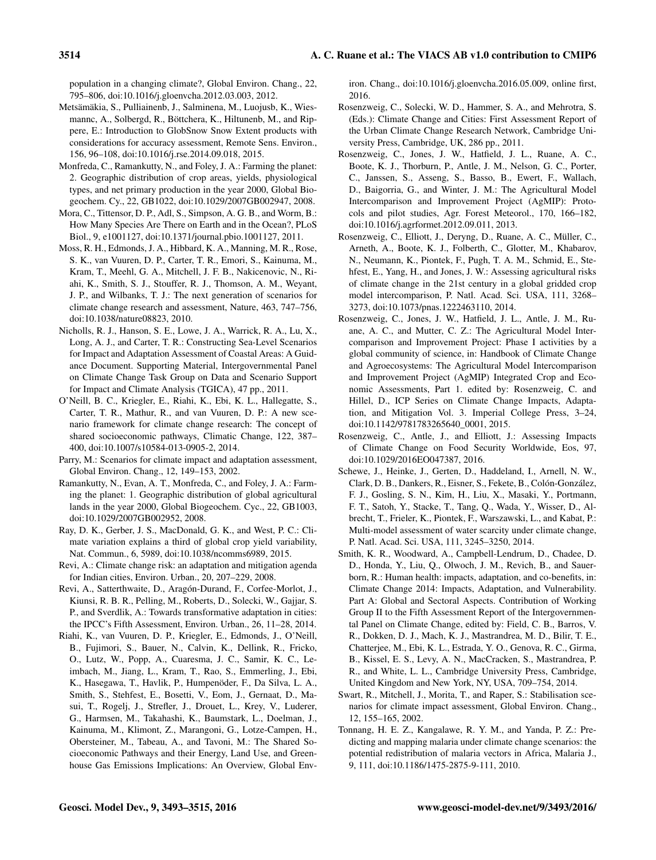population in a changing climate?, Global Environ. Chang., 22, 795–806, doi[:10.1016/j.gloenvcha.2012.03.003,](http://dx.doi.org/10.1016/j.gloenvcha.2012.03.003) 2012.

- Metsämäkia, S., Pulliainenb, J., Salminena, M., Luojusb, K., Wiesmannc, A., Solbergd, R., Böttchera, K., Hiltunenb, M., and Rippere, E.: Introduction to GlobSnow Snow Extent products with considerations for accuracy assessment, Remote Sens. Environ., 156, 96–108, doi[:10.1016/j.rse.2014.09.018,](http://dx.doi.org/10.1016/j.rse.2014.09.018) 2015.
- Monfreda, C., Ramankutty, N., and Foley, J. A.: Farming the planet: 2. Geographic distribution of crop areas, yields, physiological types, and net primary production in the year 2000, Global Biogeochem. Cy., 22, GB1022, doi[:10.1029/2007GB002947,](http://dx.doi.org/10.1029/2007GB002947) 2008.
- Mora, C., Tittensor, D. P., Adl, S., Simpson, A. G. B., and Worm, B.: How Many Species Are There on Earth and in the Ocean?, PLoS Biol., 9, e1001127, doi[:10.1371/journal.pbio.1001127,](http://dx.doi.org/10.1371/journal.pbio.1001127) 2011.
- Moss, R. H., Edmonds, J. A., Hibbard, K. A., Manning, M. R., Rose, S. K., van Vuuren, D. P., Carter, T. R., Emori, S., Kainuma, M., Kram, T., Meehl, G. A., Mitchell, J. F. B., Nakicenovic, N., Riahi, K., Smith, S. J., Stouffer, R. J., Thomson, A. M., Weyant, J. P., and Wilbanks, T. J.: The next generation of scenarios for climate change research and assessment, Nature, 463, 747–756, doi[:10.1038/nature08823,](http://dx.doi.org/10.1038/nature08823) 2010.
- Nicholls, R. J., Hanson, S. E., Lowe, J. A., Warrick, R. A., Lu, X., Long, A. J., and Carter, T. R.: Constructing Sea-Level Scenarios for Impact and Adaptation Assessment of Coastal Areas: A Guidance Document. Supporting Material, Intergovernmental Panel on Climate Change Task Group on Data and Scenario Support for Impact and Climate Analysis (TGICA), 47 pp., 2011.
- O'Neill, B. C., Kriegler, E., Riahi, K., Ebi, K. L., Hallegatte, S., Carter, T. R., Mathur, R., and van Vuuren, D. P.: A new scenario framework for climate change research: The concept of shared socioeconomic pathways, Climatic Change, 122, 387– 400, doi[:10.1007/s10584-013-0905-2,](http://dx.doi.org/10.1007/s10584-013-0905-2) 2014.
- Parry, M.: Scenarios for climate impact and adaptation assessment, Global Environ. Chang., 12, 149–153, 2002.
- Ramankutty, N., Evan, A. T., Monfreda, C., and Foley, J. A.: Farming the planet: 1. Geographic distribution of global agricultural lands in the year 2000, Global Biogeochem. Cyc., 22, GB1003, doi[:10.1029/2007GB002952,](http://dx.doi.org/10.1029/2007GB002952) 2008.
- Ray, D. K., Gerber, J. S., MacDonald, G. K., and West, P. C.: Climate variation explains a third of global crop yield variability, Nat. Commun., 6, 5989, doi[:10.1038/ncomms6989,](http://dx.doi.org/10.1038/ncomms6989) 2015.
- Revi, A.: Climate change risk: an adaptation and mitigation agenda for Indian cities, Environ. Urban., 20, 207–229, 2008.
- Revi, A., Satterthwaite, D., Aragón-Durand, F., Corfee-Morlot, J., Kiunsi, R. B. R., Pelling, M., Roberts, D., Solecki, W., Gajjar, S. P., and Sverdlik, A.: Towards transformative adaptation in cities: the IPCC's Fifth Assessment, Environ. Urban., 26, 11–28, 2014.
- Riahi, K., van Vuuren, D. P., Kriegler, E., Edmonds, J., O'Neill, B., Fujimori, S., Bauer, N., Calvin, K., Dellink, R., Fricko, O., Lutz, W., Popp, A., Cuaresma, J. C., Samir, K. C., Leimbach, M., Jiang, L., Kram, T., Rao, S., Emmerling, J., Ebi, K., Hasegawa, T., Havlik, P., Humpenöder, F., Da Silva, L. A., Smith, S., Stehfest, E., Bosetti, V., Eom, J., Gernaat, D., Masui, T., Rogelj, J., Strefler, J., Drouet, L., Krey, V., Luderer, G., Harmsen, M., Takahashi, K., Baumstark, L., Doelman, J., Kainuma, M., Klimont, Z., Marangoni, G., Lotze-Campen, H., Obersteiner, M., Tabeau, A., and Tavoni, M.: The Shared Socioeconomic Pathways and their Energy, Land Use, and Greenhouse Gas Emissions Implications: An Overview, Global Env-

iron. Chang., doi[:10.1016/j.gloenvcha.2016.05.009,](http://dx.doi.org/10.1016/j.gloenvcha.2016.05.009) online first, 2016.

- Rosenzweig, C., Solecki, W. D., Hammer, S. A., and Mehrotra, S. (Eds.): Climate Change and Cities: First Assessment Report of the Urban Climate Change Research Network, Cambridge University Press, Cambridge, UK, 286 pp., 2011.
- Rosenzweig, C., Jones, J. W., Hatfield, J. L., Ruane, A. C., Boote, K. J., Thorburn, P., Antle, J. M., Nelson, G. C., Porter, C., Janssen, S., Asseng, S., Basso, B., Ewert, F., Wallach, D., Baigorria, G., and Winter, J. M.: The Agricultural Model Intercomparison and Improvement Project (AgMIP): Protocols and pilot studies, Agr. Forest Meteorol., 170, 166–182, doi[:10.1016/j.agrformet.2012.09.011,](http://dx.doi.org/10.1016/j.agrformet.2012.09.011) 2013.
- Rosenzweig, C., Elliott, J., Deryng, D., Ruane, A. C., Müller, C., Arneth, A., Boote, K. J., Folberth, C., Glotter, M., Khabarov, N., Neumann, K., Piontek, F., Pugh, T. A. M., Schmid, E., Stehfest, E., Yang, H., and Jones, J. W.: Assessing agricultural risks of climate change in the 21st century in a global gridded crop model intercomparison, P. Natl. Acad. Sci. USA, 111, 3268– 3273, doi[:10.1073/pnas.1222463110,](http://dx.doi.org/10.1073/pnas.1222463110) 2014.
- Rosenzweig, C., Jones, J. W., Hatfield, J. L., Antle, J. M., Ruane, A. C., and Mutter, C. Z.: The Agricultural Model Intercomparison and Improvement Project: Phase I activities by a global community of science, in: Handbook of Climate Change and Agroecosystems: The Agricultural Model Intercomparison and Improvement Project (AgMIP) Integrated Crop and Economic Assessments, Part 1. edited by: Rosenzweig, C. and Hillel, D., ICP Series on Climate Change Impacts, Adaptation, and Mitigation Vol. 3. Imperial College Press, 3–24, doi[:10.1142/9781783265640\\_0001,](http://dx.doi.org/10.1142/9781783265640_0001) 2015.
- Rosenzweig, C., Antle, J., and Elliott, J.: Assessing Impacts of Climate Change on Food Security Worldwide, Eos, 97, doi[:10.1029/2016EO047387,](http://dx.doi.org/10.1029/2016EO047387) 2016.
- Schewe, J., Heinke, J., Gerten, D., Haddeland, I., Arnell, N. W., Clark, D. B., Dankers, R., Eisner, S., Fekete, B., Colón-González, F. J., Gosling, S. N., Kim, H., Liu, X., Masaki, Y., Portmann, F. T., Satoh, Y., Stacke, T., Tang, Q., Wada, Y., Wisser, D., Albrecht, T., Frieler, K., Piontek, F., Warszawski, L., and Kabat, P.: Multi-model assessment of water scarcity under climate change, P. Natl. Acad. Sci. USA, 111, 3245–3250, 2014.
- Smith, K. R., Woodward, A., Campbell-Lendrum, D., Chadee, D. D., Honda, Y., Liu, Q., Olwoch, J. M., Revich, B., and Sauerborn, R.: Human health: impacts, adaptation, and co-benefits, in: Climate Change 2014: Impacts, Adaptation, and Vulnerability. Part A: Global and Sectoral Aspects. Contribution of Working Group II to the Fifth Assessment Report of the Intergovernmental Panel on Climate Change, edited by: Field, C. B., Barros, V. R., Dokken, D. J., Mach, K. J., Mastrandrea, M. D., Bilir, T. E., Chatterjee, M., Ebi, K. L., Estrada, Y. O., Genova, R. C., Girma, B., Kissel, E. S., Levy, A. N., MacCracken, S., Mastrandrea, P. R., and White, L. L., Cambridge University Press, Cambridge, United Kingdom and New York, NY, USA, 709–754, 2014.
- Swart, R., Mitchell, J., Morita, T., and Raper, S.: Stabilisation scenarios for climate impact assessment, Global Environ. Chang., 12, 155–165, 2002.
- Tonnang, H. E. Z., Kangalawe, R. Y. M., and Yanda, P. Z.: Predicting and mapping malaria under climate change scenarios: the potential redistribution of malaria vectors in Africa, Malaria J., 9, 111, doi[:10.1186/1475-2875-9-111,](http://dx.doi.org/10.1186/1475-2875-9-111) 2010.